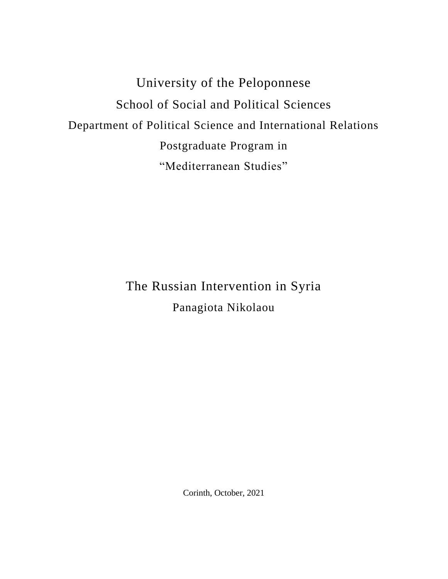University of the Peloponnese School of Social and Political Sciences Department of Political Science and International Relations Postgraduate Program in "Mediterranean Studies"

> The Russian Intervention in Syria Panagiota Nikolaou

> > Corinth, October, 2021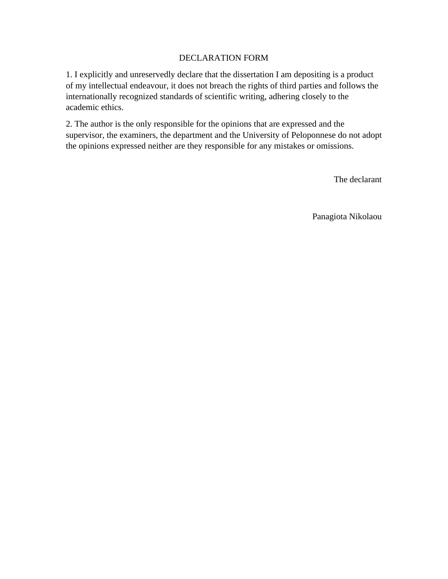### DECLARATION FORM

1. I explicitly and unreservedly declare that the dissertation I am depositing is a product of my intellectual endeavour, it does not breach the rights of third parties and follows the internationally recognized standards of scientific writing, adhering closely to the academic ethics.

2. The author is the only responsible for the opinions that are expressed and the supervisor, the examiners, the department and the University of Peloponnese do not adopt the opinions expressed neither are they responsible for any mistakes or omissions.

The declarant

Panagiota Nikolaou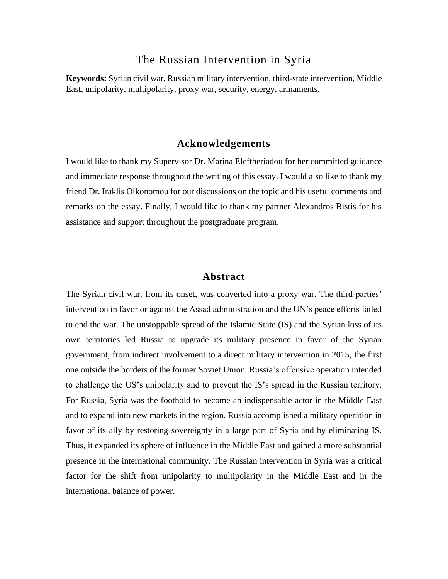### The Russian Intervention in Syria

**Keywords:** Syrian civil war, Russian military intervention, third-state intervention, Middle East, unipolarity, multipolarity, proxy war, security, energy, armaments.

### **Acknowledgements**

I would like to thank my Supervisor Dr. Marina Eleftheriadou for her committed guidance and immediate response throughout the writing of this essay. I would also like to thank my friend Dr. Iraklis Oikonomou for our discussions on the topic and his useful comments and remarks on the essay. Finally, I would like to thank my partner Alexandros Bistis for his assistance and support throughout the postgraduate program.

### **Abstract**

The Syrian civil war, from its onset, was converted into a proxy war. The third-parties' intervention in favor or against the Assad administration and the UN's peace efforts failed to end the war. The unstoppable spread of the Islamic State (IS) and the Syrian loss of its own territories led Russia to upgrade its military presence in favor of the Syrian government, from indirect involvement to a direct military intervention in 2015, the first one outside the borders of the former Soviet Union. Russia's offensive operation intended to challenge the US's unipolarity and to prevent the IS's spread in the Russian territory. For Russia, Syria was the foothold to become an indispensable actor in the Middle East and to expand into new markets in the region. Russia accomplished a military operation in favor of its ally by restoring sovereignty in a large part of Syria and by eliminating IS. Thus, it expanded its sphere of influence in the Middle East and gained a more substantial presence in the international community. The Russian intervention in Syria was a critical factor for the shift from unipolarity to multipolarity in the Middle East and in the international balance of power.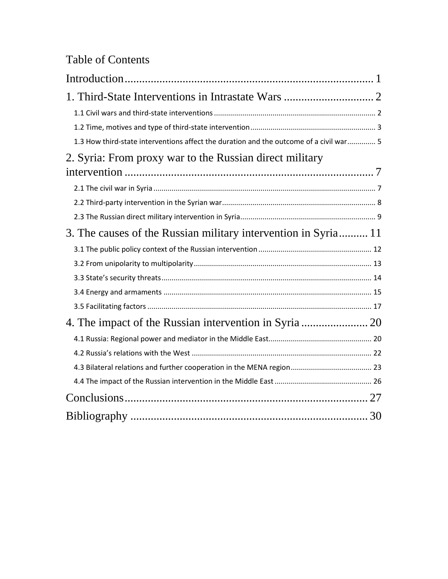# Table of Contents

| 1.3 How third-state interventions affect the duration and the outcome of a civil war 5 |
|----------------------------------------------------------------------------------------|
| 2. Syria: From proxy war to the Russian direct military                                |
|                                                                                        |
|                                                                                        |
|                                                                                        |
|                                                                                        |
| 3. The causes of the Russian military intervention in Syria 11                         |
|                                                                                        |
|                                                                                        |
|                                                                                        |
|                                                                                        |
|                                                                                        |
|                                                                                        |
|                                                                                        |
|                                                                                        |
|                                                                                        |
|                                                                                        |
|                                                                                        |
|                                                                                        |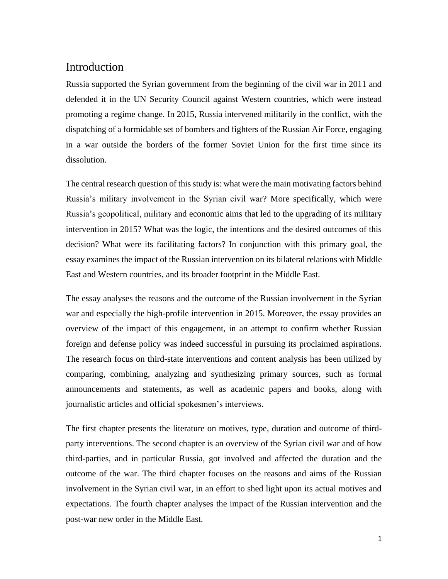# <span id="page-4-0"></span>Introduction

Russia supported the Syrian government from the beginning of the civil war in 2011 and defended it in the UN Security Council against Western countries, which were instead promoting a regime change. In 2015, Russia intervened militarily in the conflict, with the dispatching of a formidable set of bombers and fighters of the Russian Air Force, engaging in a war outside the borders of the former Soviet Union for the first time since its dissolution.

The central research question of this study is: what were the main motivating factors behind Russia's military involvement in the Syrian civil war? More specifically, which were Russia's geopolitical, military and economic aims that led to the upgrading of its military intervention in 2015? What was the logic, the intentions and the desired outcomes of this decision? What were its facilitating factors? In conjunction with this primary goal, the essay examines the impact of the Russian intervention on its bilateral relations with Middle East and Western countries, and its broader footprint in the Middle East.

The essay analyses the reasons and the outcome of the Russian involvement in the Syrian war and especially the high-profile intervention in 2015. Moreover, the essay provides an overview of the impact of this engagement, in an attempt to confirm whether Russian foreign and defense policy was indeed successful in pursuing its proclaimed aspirations. The research focus on third-state interventions and content analysis has been utilized by comparing, combining, analyzing and synthesizing primary sources, such as formal announcements and statements, as well as academic papers and books, along with journalistic articles and official spokesmen's interviews.

The first chapter presents the literature on motives, type, duration and outcome of thirdparty interventions. The second chapter is an overview of the Syrian civil war and of how third-parties, and in particular Russia, got involved and affected the duration and the outcome of the war. The third chapter focuses on the reasons and aims of the Russian involvement in the Syrian civil war, in an effort to shed light upon its actual motives and expectations. The fourth chapter analyses the impact of the Russian intervention and the post-war new order in the Middle East.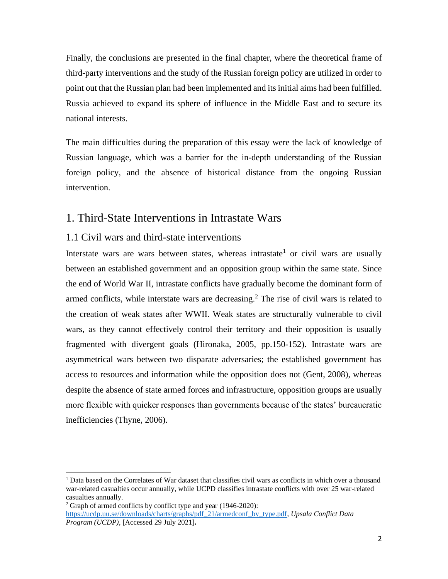Finally, the conclusions are presented in the final chapter, where the theoretical frame of third-party interventions and the study of the Russian foreign policy are utilized in order to point out that the Russian plan had been implemented and its initial aims had been fulfilled. Russia achieved to expand its sphere of influence in the Middle East and to secure its national interests.

The main difficulties during the preparation of this essay were the lack of knowledge of Russian language, which was a barrier for the in-depth understanding of the Russian foreign policy, and the absence of historical distance from the ongoing Russian intervention.

### <span id="page-5-0"></span>1. Third-State Interventions in Intrastate Wars

### <span id="page-5-1"></span>1.1 Civil wars and third-state interventions

Interstate wars are wars between states, whereas intrastate<sup>1</sup> or civil wars are usually between an established government and an opposition group within the same state. Since the end of World War II, intrastate conflicts have gradually become the dominant form of armed conflicts, while interstate wars are decreasing. <sup>2</sup> The rise of civil wars is related to the creation of weak states after WWII. Weak states are structurally vulnerable to civil wars, as they cannot effectively control their territory and their opposition is usually fragmented with divergent goals (Hironaka, 2005, pp.150-152). Intrastate wars are asymmetrical wars between two disparate adversaries; the established government has access to resources and information while the opposition does not (Gent, 2008), whereas despite the absence of state armed forces and infrastructure, opposition groups are usually more flexible with quicker responses than governments because of the states' bureaucratic inefficiencies (Thyne, 2006).

<sup>&</sup>lt;sup>1</sup> Data based on the Correlates of War dataset that classifies civil wars as conflicts in which over a thousand war-related casualties occur annually, while UCPD classifies intrastate conflicts with over 25 war-related casualties annually.

 $2$  Graph of armed conflicts by conflict type and year (1946-2020): [https://ucdp.uu.se/downloads/charts/graphs/pdf\\_21/armedconf\\_by\\_type.pdf,](https://ucdp.uu.se/downloads/charts/graphs/pdf_21/armedconf_by_type.pdf) *Upsala Conflict Data Program (UCDP)*, [Accessed 29 July 2021]**.**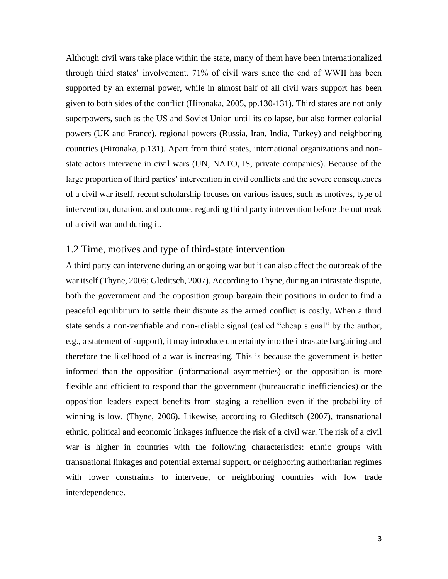Although civil wars take place within the state, many of them have been internationalized through third states' involvement. 71% of civil wars since the end of WWII has been supported by an external power, while in almost half of all civil wars support has been given to both sides of the conflict (Hironaka, 2005, pp.130-131). Third states are not only superpowers, such as the US and Soviet Union until its collapse, but also former colonial powers (UK and France), regional powers (Russia, Iran, India, Turkey) and neighboring countries (Hironaka, p.131). Apart from third states, international organizations and nonstate actors intervene in civil wars (UN, NATO, IS, private companies). Because of the large proportion of third parties' intervention in civil conflicts and the severe consequences of a civil war itself, recent scholarship focuses on various issues, such as motives, type of intervention, duration, and outcome, regarding third party intervention before the outbreak of a civil war and during it.

### <span id="page-6-0"></span>1.2 Time, motives and type of third-state intervention

A third party can intervene during an ongoing war but it can also affect the outbreak of the war itself (Thyne, 2006; Gleditsch, 2007). According to Thyne, during an intrastate dispute, both the government and the opposition group bargain their positions in order to find a peaceful equilibrium to settle their dispute as the armed conflict is costly. When a third state sends a non-verifiable and non-reliable signal (called "cheap signal" by the author, e.g., a statement of support), it may introduce uncertainty into the intrastate bargaining and therefore the likelihood of a war is increasing. This is because the government is better informed than the opposition (informational asymmetries) or the opposition is more flexible and efficient to respond than the government (bureaucratic inefficiencies) or the opposition leaders expect benefits from staging a rebellion even if the probability of winning is low. (Thyne, 2006). Likewise, according to Gleditsch (2007), transnational ethnic, political and economic linkages influence the risk of a civil war. The risk of a civil war is higher in countries with the following characteristics: ethnic groups with transnational linkages and potential external support, or neighboring authoritarian regimes with lower constraints to intervene, or neighboring countries with low trade interdependence.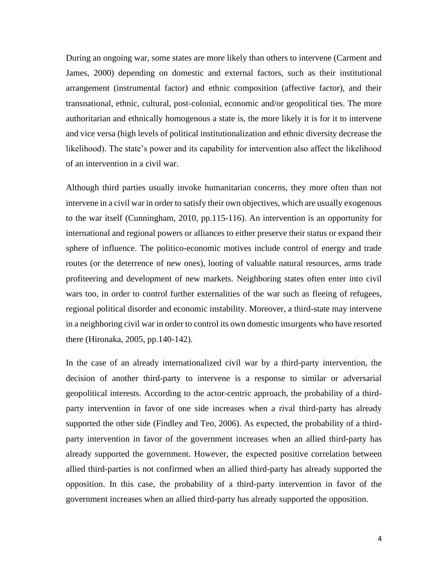During an ongoing war, some states are more likely than others to intervene (Carment and James, 2000) depending on domestic and external factors, such as their institutional arrangement (instrumental factor) and ethnic composition (affective factor), and their transnational, ethnic, cultural, post-colonial, economic and/or geopolitical ties. The more authoritarian and ethnically homogenous a state is, the more likely it is for it to intervene and vice versa (high levels of political institutionalization and ethnic diversity decrease the likelihood). The state's power and its capability for intervention also affect the likelihood of an intervention in a civil war.

Although third parties usually invoke humanitarian concerns, they more often than not intervene in a civil war in order to satisfy their own objectives, which are usually exogenous to the war itself (Cunningham, 2010, pp.115-116). An intervention is an opportunity for international and regional powers or alliances to either preserve their status or expand their sphere of influence. The politico-economic motives include control of energy and trade routes (or the deterrence of new ones), looting of valuable natural resources, arms trade profiteering and development of new markets. Νeighboring states often enter into civil wars too, in order to control further externalities of the war such as fleeing of refugees, regional political disorder and economic instability. Moreover, a third-state may intervene in a neighboring civil war in order to control its own domestic insurgents who have resorted there (Hironaka, 2005, pp.140-142).

In the case of an already internationalized civil war by a third-party intervention, the decision of another third-party to intervene is a response to similar or adversarial geopolitical interests. According to the actor-centric approach, the probability of a thirdparty intervention in favor of one side increases when a rival third-party has already supported the other side (Findley and Teo, 2006). As expected, the probability of a thirdparty intervention in favor of the government increases when an allied third-party has already supported the government. However, the expected positive correlation between allied third-parties is not confirmed when an allied third-party has already supported the opposition. In this case, the probability of a third-party intervention in favor of the government increases when an allied third-party has already supported the opposition.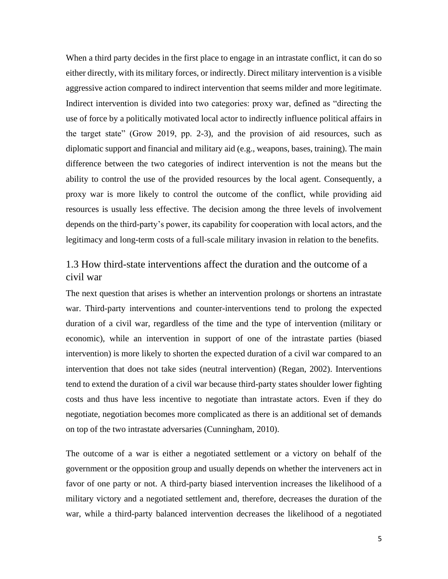When a third party decides in the first place to engage in an intrastate conflict, it can do so either directly, with its military forces, or indirectly. Direct military intervention is a visible aggressive action compared to indirect intervention that seems milder and more legitimate. Indirect intervention is divided into two categories: proxy war, defined as "directing the use of force by a politically motivated local actor to indirectly influence political affairs in the target state" (Grow 2019, pp. 2-3), and the provision of aid resources, such as diplomatic support and financial and military aid (e.g., weapons, bases, training). The main difference between the two categories of indirect intervention is not the means but the ability to control the use of the provided resources by the local agent. Consequently, a proxy war is more likely to control the outcome of the conflict, while providing aid resources is usually less effective. The decision among the three levels of involvement depends on the third-party's power, its capability for cooperation with local actors, and the legitimacy and long-term costs of a full-scale military invasion in relation to the benefits.

### <span id="page-8-0"></span>1.3 How third-state interventions affect the duration and the outcome of a civil war

The next question that arises is whether an intervention prolongs or shortens an intrastate war. Third-party interventions and counter-interventions tend to prolong the expected duration of a civil war, regardless of the time and the type of intervention (military or economic), while an intervention in support of one of the intrastate parties (biased intervention) is more likely to shorten the expected duration of a civil war compared to an intervention that does not take sides (neutral intervention) (Regan, 2002). Interventions tend to extend the duration of a civil war because third-party states shoulder lower fighting costs and thus have less incentive to negotiate than intrastate actors. Even if they do negotiate, negotiation becomes more complicated as there is an additional set of demands on top of the two intrastate adversaries (Cunningham, 2010).

The outcome of a war is either a negotiated settlement or a victory on behalf of the government or the opposition group and usually depends on whether the interveners act in favor of one party or not. A third-party biased intervention increases the likelihood of a military victory and a negotiated settlement and, therefore, decreases the duration of the war, while a third-party balanced intervention decreases the likelihood of a negotiated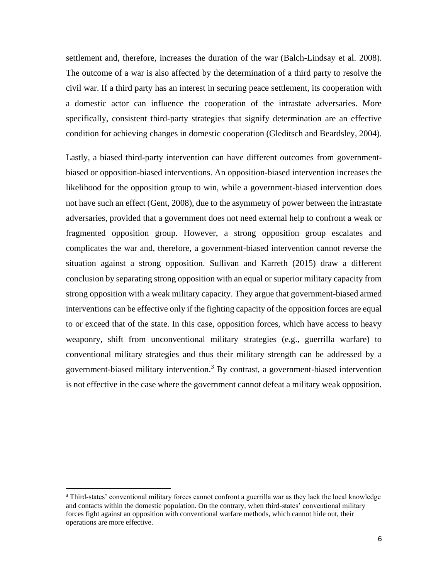settlement and, therefore, increases the duration of the war (Balch-Lindsay et al. 2008). The outcome of a war is also affected by the determination of a third party to resolve the civil war. If a third party has an interest in securing peace settlement, its cooperation with a domestic actor can influence the cooperation of the intrastate adversaries. More specifically, consistent third-party strategies that signify determination are an effective condition for achieving changes in domestic cooperation (Gleditsch and Beardsley, 2004).

Lastly, a biased third-party intervention can have different outcomes from governmentbiased or opposition-biased interventions. An opposition-biased intervention increases the likelihood for the opposition group to win, while a government-biased intervention does not have such an effect (Gent, 2008), due to the asymmetry of power between the intrastate adversaries, provided that a government does not need external help to confront a weak or fragmented opposition group. However, a strong opposition group escalates and complicates the war and, therefore, a government-biased intervention cannot reverse the situation against a strong opposition. Sullivan and Karreth (2015) draw a different conclusion by separating strong opposition with an equal or superior military capacity from strong opposition with a weak military capacity. They argue that government-biased armed interventions can be effective only if the fighting capacity of the opposition forces are equal to or exceed that of the state. In this case, opposition forces, which have access to heavy weaponry, shift from unconventional military strategies (e.g., guerrilla warfare) to conventional military strategies and thus their military strength can be addressed by a government-biased military intervention.<sup>3</sup> By contrast, a government-biased intervention is not effective in the case where the government cannot defeat a military weak opposition.

<sup>&</sup>lt;sup>3</sup> Third-states' conventional military forces cannot confront a guerrilla war as they lack the local knowledge and contacts within the domestic population. On the contrary, when third-states' conventional military forces fight against an opposition with conventional warfare methods, which cannot hide out, their operations are more effective.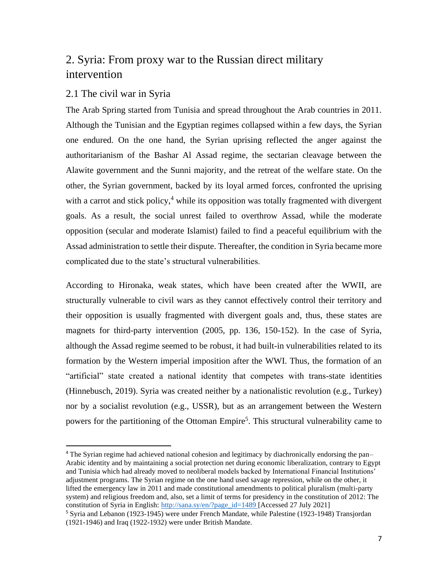# <span id="page-10-0"></span>2. Syria: From proxy war to the Russian direct military intervention

### <span id="page-10-1"></span>2.1 The civil war in Syria

The Arab Spring started from Tunisia and spread throughout the Arab countries in 2011. Although the Tunisian and the Egyptian regimes collapsed within a few days, the Syrian one endured. On the one hand, the Syrian uprising reflected the anger against the authoritarianism of the Bashar Al Assad regime, the sectarian cleavage between the Alawite government and the Sunni majority, and the retreat of the welfare state. On the other, the Syrian government, backed by its loyal armed forces, confronted the uprising with a carrot and stick policy, $4$  while its opposition was totally fragmented with divergent goals. As a result, the social unrest failed to overthrow Assad, while the moderate opposition (secular and moderate Islamist) failed to find a peaceful equilibrium with the Assad administration to settle their dispute. Thereafter, the condition in Syria became more complicated due to the state's structural vulnerabilities.

According to Hironaka, weak states, which have been created after the WWII, are structurally vulnerable to civil wars as they cannot effectively control their territory and their opposition is usually fragmented with divergent goals and, thus, these states are magnets for third-party intervention (2005, pp. 136, 150-152). In the case of Syria, although the Assad regime seemed to be robust, it had built-in vulnerabilities related to its formation by the Western imperial imposition after the WWI. Thus, the formation of an "artificial" state created a national identity that competes with trans-state identities (Hinnebusch, 2019). Syria was created neither by a nationalistic revolution (e.g., Turkey) nor by a socialist revolution (e.g., USSR), but as an arrangement between the Western powers for the partitioning of the Ottoman Empire<sup>5</sup>. This structural vulnerability came to

<sup>&</sup>lt;sup>4</sup> The Syrian regime had achieved national cohesion and legitimacy by diachronically endorsing the pan– Arabic identity and by maintaining a social protection net during economic liberalization, contrary to Egypt and Tunisia which had already moved to neoliberal models backed by International Financial Institutions' adjustment programs. The Syrian regime on the one hand used savage repression, while on the other, it lifted the emergency law in 2011 and made constitutional amendments to political pluralism (multi-party system) and religious freedom and, also, set a limit of terms for presidency in the constitution of 2012: The constitution of Syria in English: [http://sana.sy/en/?page\\_id=1489](http://sana.sy/en/?page_id=1489) [Accessed 27 July 2021] <sup>5</sup> Syria and Lebanon (1923-1945) were under French Mandate, while Palestine (1923-1948) Transjordan

<sup>(1921-1946)</sup> and Iraq (1922-1932) were under British Mandate.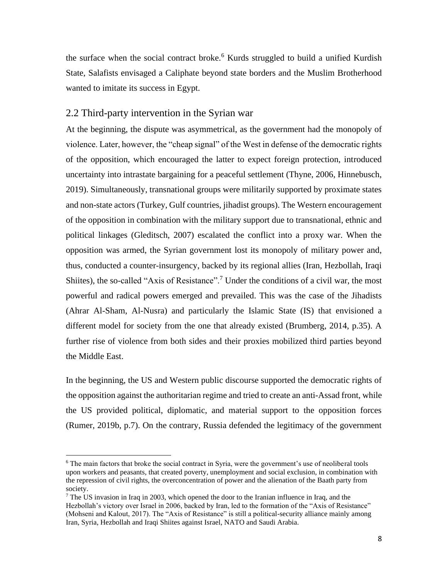the surface when the social contract broke.<sup>6</sup> Kurds struggled to build a unified Kurdish State, Salafists envisaged a Caliphate beyond state borders and the Muslim Brotherhood wanted to imitate its success in Egypt.

### <span id="page-11-0"></span>2.2 Third-party intervention in the Syrian war

At the beginning, the dispute was asymmetrical, as the government had the monopoly of violence. Later, however, the "cheap signal" of the West in defense of the democratic rights of the opposition, which encouraged the latter to expect foreign protection, introduced uncertainty into intrastate bargaining for a peaceful settlement (Thyne, 2006, Hinnebusch, 2019). Simultaneously, transnational groups were militarily supported by proximate states and non-state actors (Turkey, Gulf countries, jihadist groups). The Western encouragement of the opposition in combination with the military support due to transnational, ethnic and political linkages (Gleditsch, 2007) escalated the conflict into a proxy war. When the opposition was armed, the Syrian government lost its monopoly of military power and, thus, conducted a counter-insurgency, backed by its regional allies (Iran, Hezbollah, Iraqi Shiites), the so-called "Axis of Resistance".<sup>7</sup> Under the conditions of a civil war, the most powerful and radical powers emerged and prevailed. This was the case of the Jihadists (Ahrar Al-Sham, Al-Nusra) and particularly the Islamic State (IS) that envisioned a different model for society from the one that already existed (Brumberg, 2014, p.35). A further rise of violence from both sides and their proxies mobilized third parties beyond the Middle East.

In the beginning, the US and Western public discourse supported the democratic rights of the opposition against the authoritarian regime and tried to create an anti-Assad front, while the US provided political, diplomatic, and material support to the opposition forces (Rumer, 2019b, p.7). On the contrary, Russia defended the legitimacy of the government

<sup>&</sup>lt;sup>6</sup> The main factors that broke the social contract in Syria, were the government's use of neoliberal tools upon workers and peasants, that created poverty, unemployment and social exclusion, in combination with the repression of civil rights, the overconcentration of power and the alienation of the Baath party from society.

 $<sup>7</sup>$  The US invasion in Iraq in 2003, which opened the door to the Iranian influence in Iraq, and the</sup> Hezbollah's victory over Israel in 2006, backed by Iran, led to the formation of the "Axis of Resistance" (Mohseni and Kalout, 2017). The "Axis of Resistance" is still a political-security alliance mainly among Iran, Syria, Hezbollah and Iraqi Shiites against Israel, NATO and Saudi Arabia.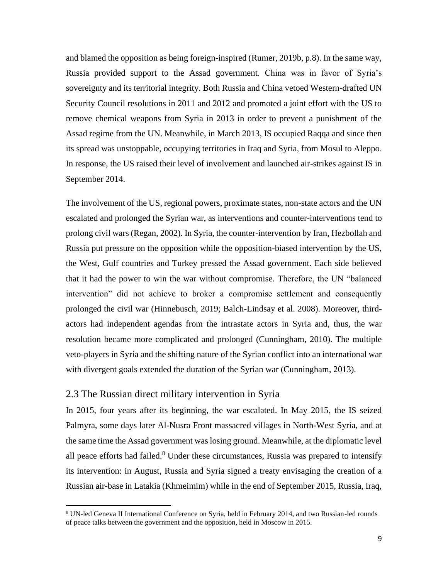and blamed the opposition as being foreign-inspired (Rumer, 2019b, p.8). In the same way, Russia provided support to the Assad government. China was in favor of Syria's sovereignty and its territorial integrity. Both Russia and China vetoed Western-drafted UN Security Council resolutions in 2011 and 2012 and promoted a joint effort with the US to remove chemical weapons from Syria in 2013 in order to prevent a punishment of the Assad regime from the UN. Meanwhile, in March 2013, IS occupied Raqqa and since then its spread was unstoppable, occupying territories in Iraq and Syria, from Mosul to Aleppo. In response, the US raised their level of involvement and launched air-strikes against IS in September 2014.

The involvement of the US, regional powers, proximate states, non-state actors and the UN escalated and prolonged the Syrian war, as interventions and counter-interventions tend to prolong civil wars (Regan, 2002). In Syria, the counter-intervention by Iran, Hezbollah and Russia put pressure on the opposition while the opposition-biased intervention by the US, the West, Gulf countries and Turkey pressed the Assad government. Each side believed that it had the power to win the war without compromise. Therefore, the UN "balanced intervention" did not achieve to broker a compromise settlement and consequently prolonged the civil war (Hinnebusch, 2019; Balch-Lindsay et al. 2008). Moreover, thirdactors had independent agendas from the intrastate actors in Syria and, thus, the war resolution became more complicated and prolonged (Cunningham, 2010). The multiple veto-players in Syria and the shifting nature of the Syrian conflict into an international war with divergent goals extended the duration of the Syrian war (Cunningham, 2013).

### <span id="page-12-0"></span>2.3 The Russian direct military intervention in Syria

In 2015, four years after its beginning, the war escalated. In May 2015, the IS seized Palmyra, some days later Al-Nusra Front massacred villages in North-West Syria, and at the same time the Assad government waslosing ground. Meanwhile, at the diplomatic level all peace efforts had failed.<sup>8</sup> Under these circumstances, Russia was prepared to intensify its intervention: in August, Russia and Syria signed a treaty envisaging the creation of a Russian air-base in Latakia (Khmeimim) while in the end of September 2015, Russia, Iraq,

<sup>8</sup> UN-led Geneva II International Conference on Syria, held in February 2014, and two Russian-led rounds of peace talks between the government and the opposition, held in Moscow in 2015.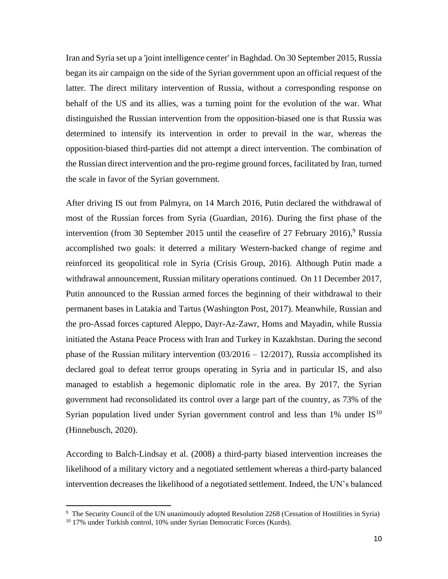Iran and Syria set up a 'joint intelligence center' in Baghdad. On 30 September 2015, Russia began its air campaign on the side of the Syrian government upon an official request of the latter. The direct military intervention of Russia, without a corresponding response on behalf of the US and its allies, was a turning point for the evolution of the war. What distinguished the Russian intervention from the opposition-biased one is that Russia was determined to intensify its intervention in order to prevail in the war, whereas the opposition-biased third-parties did not attempt a direct intervention. The combination of the Russian direct intervention and the pro-regime ground forces, facilitated by Iran, turned the scale in favor of the Syrian government.

After driving IS out from Palmyra, on 14 March 2016, Putin declared the withdrawal of most of the Russian forces from Syria (Guardian, 2016). During the first phase of the intervention (from 30 September 2015 until the ceasefire of 27 February 2016), <sup>9</sup> Russia accomplished two goals: it deterred a military Western-backed change of regime and reinforced its geopolitical role in Syria (Crisis Group, 2016). Although Putin made a withdrawal announcement, Russian military operations continued. On 11 December 2017, Putin announced to the Russian armed forces the beginning of their withdrawal to their permanent bases in Latakia and Tartus (Washington Post, 2017). Meanwhile, Russian and the pro-Assad forces captured Aleppo, Dayr-Az-Zawr, Homs and Mayadin, while Russia initiated the Astana Peace Process with Iran and Turkey in Kazakhstan. During the second phase of the Russian military intervention  $(03/2016 - 12/2017)$ , Russia accomplished its declared goal to defeat terror groups operating in Syria and in particular IS, and also managed to establish a hegemonic diplomatic role in the area. By 2017, the Syrian government had reconsolidated its control over a large part of the country, as 73% of the Syrian population lived under Syrian government control and less than  $1\%$  under IS<sup>10</sup> (Hinnebusch, 2020).

According to Balch-Lindsay et al. (2008) a third-party biased intervention increases the likelihood of a military victory and a negotiated settlement whereas a third-party balanced intervention decreases the likelihood of a negotiated settlement. Indeed, the UN's balanced

<sup>&</sup>lt;sup>9</sup> The Security Council of the UN unanimously adopted Resolution 2268 (Cessation of Hostilities in Syria)

<sup>&</sup>lt;sup>10</sup> 17% under Turkish control, 10% under Syrian Democratic Forces (Kurds).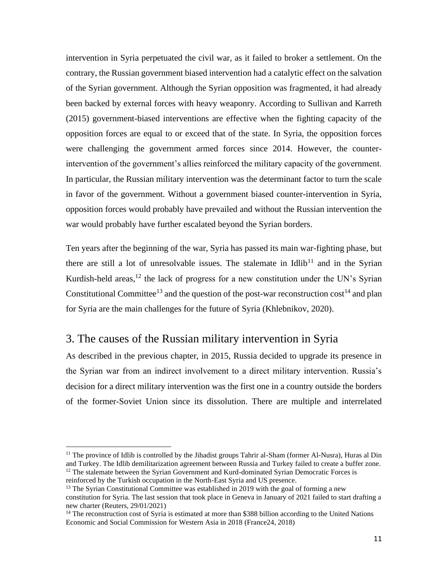intervention in Syria perpetuated the civil war, as it failed to broker a settlement. On the contrary, the Russian government biased intervention had a catalytic effect on the salvation of the Syrian government. Although the Syrian opposition was fragmented, it had already been backed by external forces with heavy weaponry. According to Sullivan and Karreth (2015) government-biased interventions are effective when the fighting capacity of the opposition forces are equal to or exceed that of the state. In Syria, the opposition forces were challenging the government armed forces since 2014. However, the counterintervention of the government's allies reinforced the military capacity of the government. In particular, the Russian military intervention was the determinant factor to turn the scale in favor of the government. Without a government biased counter-intervention in Syria, opposition forces would probably have prevailed and without the Russian intervention the war would probably have further escalated beyond the Syrian borders.

Ten years after the beginning of the war, Syria has passed its main war-fighting phase, but there are still a lot of unresolvable issues. The stalemate in Idlib<sup>11</sup> and in the Syrian Kurdish-held areas,<sup>12</sup> the lack of progress for a new constitution under the UN's Syrian Constitutional Committee<sup>13</sup> and the question of the post-war reconstruction  $\cos t^{14}$  and plan for Syria are the main challenges for the future of Syria (Khlebnikov, 2020).

# <span id="page-14-0"></span>3. The causes of the Russian military intervention in Syria

Αs described in the previous chapter, in 2015, Russia decided to upgrade its presence in the Syrian war from an indirect involvement to a direct military intervention. Russia's decision for a direct military intervention was the first one in a country outside the borders of the former-Soviet Union since its dissolution. There are multiple and interrelated

<sup>&</sup>lt;sup>11</sup> The province of Idlib is controlled by the Jihadist groups Tahrir al-Sham (former Al-Nusra), Huras al Din and Turkey. The Idlib demilitarization agreement between Russia and Turkey failed to create a buffer zone.  $12$  The stalemate between the Syrian Government and Kurd-dominated Syrian Democratic Forces is reinforced by the Turkish occupation in the North-East Syria and US presence.

 $13$  The Syrian Constitutional Committee was established in 2019 with the goal of forming a new constitution for Syria. The last session that took place in Geneva in January of 2021 failed to start drafting a new charter (Reuters, 29/01/2021)

<sup>&</sup>lt;sup>14</sup> The reconstruction cost of Syria is estimated at more than \$388 billion according to the United Nations Economic and Social Commission for Western Asia in 2018 (France24, 2018)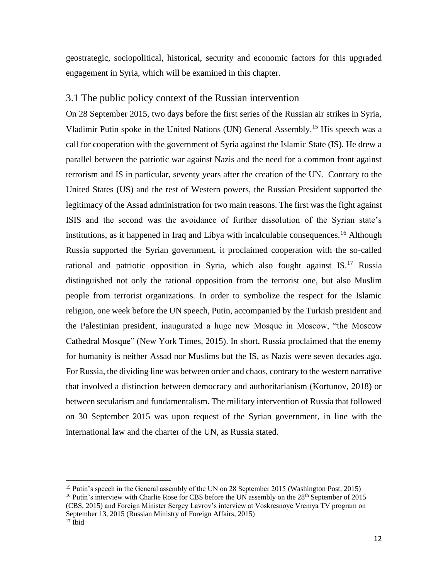geostrategic, sociopolitical, historical, security and economic factors for this upgraded engagement in Syria, which will be examined in this chapter.

### <span id="page-15-0"></span>3.1 The public policy context of the Russian intervention

On 28 September 2015, two days before the first series of the Russian air strikes in Syria, Vladimir Putin spoke in the United Nations (UN) General Assembly.<sup>15</sup> His speech was a call for cooperation with the government of Syria against the Islamic State (IS). He drew a parallel between the patriotic war against Nazis and the need for a common front against terrorism and IS in particular, seventy years after the creation of the UN. Contrary to the United States (US) and the rest of Western powers, the Russian President supported the legitimacy of the Assad administration for two main reasons. The first was the fight against ISIS and the second was the avoidance of further dissolution of the Syrian state's institutions, as it happened in Iraq and Libya with incalculable consequences.<sup>16</sup> Although Russia supported the Syrian government, it proclaimed cooperation with the so-called rational and patriotic opposition in Syria, which also fought against  $IS$ .<sup>17</sup> Russia distinguished not only the rational opposition from the terrorist one, but also Muslim people from terrorist organizations. In order to symbolize the respect for the Islamic religion, one week before the UN speech, Putin, accompanied by the Turkish president and the Palestinian president, inaugurated a huge new Mosque in Moscow, "the Moscow Cathedral Mosque" (New York Times, 2015). In short, Russia proclaimed that the enemy for humanity is neither Assad nor Muslims but the IS, as Nazis were seven decades ago. For Russia, the dividing line was between order and chaos, contrary to the western narrative that involved a distinction between democracy and authoritarianism (Kortunov, 2018) or between secularism and fundamentalism. The military intervention of Russia that followed on 30 September 2015 was upon request of the Syrian government, in line with the international law and the charter of the UN, as Russia stated.

<sup>&</sup>lt;sup>15</sup> Putin's speech in the General assembly of the UN on 28 September 2015 (Washington Post, 2015) <sup>16</sup> Putin's interview with Charlie Rose for CBS before the UN assembly on the  $28<sup>th</sup>$  September of 2015

<sup>(</sup>CBS, 2015) and Foreign Minister Sergey Lavrov's interview at Voskresnoye Vremya TV program on September 13, 2015 (Russian Ministry of Foreign Affairs, 2015)

 $17$  Ibid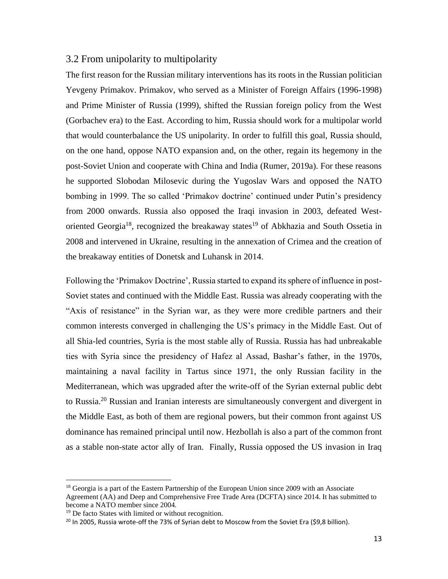### <span id="page-16-0"></span>3.2 From unipolarity to multipolarity

The first reason for the Russian military interventions has its roots in the Russian politician Yevgeny Primakov. Primakov, who served as a Minister of Foreign Affairs (1996-1998) and Prime Minister of Russia (1999), shifted the Russian foreign policy from the West (Gorbachev era) to the East. According to him, Russia should work for a multipolar world that would counterbalance the US unipolarity. In order to fulfill this goal, Russia should, on the one hand, oppose NATO expansion and, on the other, regain its hegemony in the post-Soviet Union and cooperate with China and India (Rumer, 2019a). For these reasons he supported Slobodan Milosevic during the Yugoslav Wars and opposed the NATO bombing in 1999. The so called 'Primakov doctrine' continued under Putin's presidency from 2000 onwards. Russia also opposed the Iraqi invasion in 2003, defeated Westoriented Georgia<sup>18</sup>, recognized the breakaway states<sup>19</sup> of Abkhazia and South Ossetia in 2008 and intervened in Ukraine, resulting in the annexation of Crimea and the creation of the breakaway entities of Donetsk and Luhansk in 2014.

Following the 'Primakov Doctrine', Russia started to expand its sphere of influence in post-Soviet states and continued with the Middle East. Russia was already cooperating with the "Axis of resistance" in the Syrian war, as they were more credible partners and their common interests converged in challenging the US's primacy in the Middle East. Out of all Shia-led countries, Syria is the most stable ally of Russia. Russia has had unbreakable ties with Syria since the presidency of Hafez al Assad, Bashar's father, in the 1970s, maintaining a naval facility in Tartus since 1971, the only Russian facility in the Mediterranean, which was upgraded after the write-off of the Syrian external public debt to Russia.<sup>20</sup> Russian and Iranian interests are simultaneously convergent and divergent in the Middle East, as both of them are regional powers, but their common front against US dominance has remained principal until now. Hezbollah is also a part of the common front as a stable non-state actor ally of Iran. Finally, Russia opposed the US invasion in Iraq

<sup>&</sup>lt;sup>18</sup> Georgia is a part of the Eastern Partnership of the European Union since 2009 with an Associate Agreement (AA) and Deep and Comprehensive Free Trade Area (DCFTA) since 2014. It has submitted to become a NATO member since 2004.

<sup>&</sup>lt;sup>19</sup> De facto States with limited or without recognition.

<sup>&</sup>lt;sup>20</sup> In 2005, Russia wrote-off the 73% of Syrian debt to Moscow from the Soviet Era (\$9,8 billion).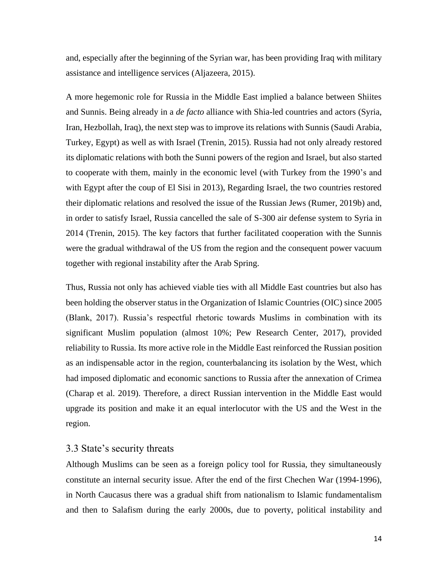and, especially after the beginning of the Syrian war, has been providing Iraq with military assistance and intelligence services (Aljazeera, 2015).

A more hegemonic role for Russia in the Middle East implied a balance between Shiites and Sunnis. Being already in a *de facto* alliance with Shia-led countries and actors (Syria, Iran, Hezbollah, Iraq), the next step was to improve its relations with Sunnis (Saudi Arabia, Turkey, Egypt) as well as with Israel (Trenin, 2015). Russia had not only already restored its diplomatic relations with both the Sunni powers of the region and Israel, but also started to cooperate with them, mainly in the economic level (with Turkey from the 1990's and with Egypt after the coup of El Sisi in 2013), Regarding Israel, the two countries restored their diplomatic relations and resolved the issue of the Russian Jews (Rumer, 2019b) and, in order to satisfy Israel, Russia cancelled the sale of S-300 air defense system to Syria in 2014 (Trenin, 2015). The key factors that further facilitated cooperation with the Sunnis were the gradual withdrawal of the US from the region and the consequent power vacuum together with regional instability after the Arab Spring.

Thus, Russia not only has achieved viable ties with all Middle East countries but also has been holding the observer status in the Organization of Islamic Countries (OIC) since 2005 (Blank, 2017). Russia's respectful rhetoric towards Muslims in combination with its significant Muslim population (almost 10%; Pew Research Center, 2017), provided reliability to Russia. Its more active role in the Middle East reinforced the Russian position as an indispensable actor in the region, counterbalancing its isolation by the West, which had imposed diplomatic and economic sanctions to Russia after the annexation of Crimea (Charap et al. 2019). Therefore, a direct Russian intervention in the Middle East would upgrade its position and make it an equal interlocutor with the US and the West in the region.

### <span id="page-17-0"></span>3.3 State's security threats

Although Muslims can be seen as a foreign policy tool for Russia, they simultaneously constitute an internal security issue. After the end of the first Chechen War (1994-1996), in North Caucasus there was a gradual shift from nationalism to Islamic fundamentalism and then to Salafism during the early 2000s, due to poverty, political instability and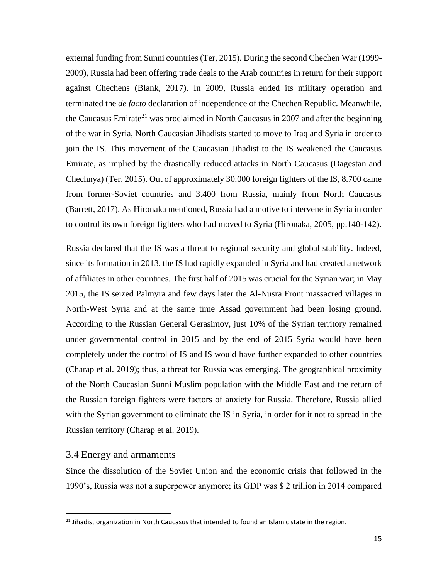external funding from Sunni countries (Ter, 2015). During the second Chechen War (1999- 2009), Russia had been offering trade deals to the Arab countries in return for their support against Chechens (Blank, 2017). In 2009, Russia ended its military operation and terminated the *de facto* declaration of independence of the Chechen Republic. Meanwhile, the Caucasus Emirate<sup>21</sup> was proclaimed in North Caucasus in 2007 and after the beginning of the war in Syria, North Caucasian Jihadists started to move to Iraq and Syria in order to join the IS. This movement of the Caucasian Jihadist to the IS weakened the Caucasus Emirate, as implied by the drastically reduced attacks in North Caucasus (Dagestan and Chechnya) (Ter, 2015). Out of approximately 30.000 foreign fighters of the IS, 8.700 came from former-Soviet countries and 3.400 from Russia, mainly from North Caucasus (Barrett, 2017). As Hironaka mentioned, Russia had a motive to intervene in Syria in order to control its own foreign fighters who had moved to Syria (Hironaka, 2005, pp.140-142).

Russia declared that the IS was a threat to regional security and global stability. Indeed, since its formation in 2013, the IS had rapidly expanded in Syria and had created a network of affiliates in other countries. The first half of 2015 was crucial for the Syrian war; in May 2015, the IS seized Palmyra and few days later the Al-Nusra Front massacred villages in North-West Syria and at the same time Assad government had been losing ground. According to the Russian General Gerasimov, just 10% of the Syrian territory remained under governmental control in 2015 and by the end of 2015 Syria would have been completely under the control of IS and IS would have further expanded to other countries (Charap et al. 2019); thus, a threat for Russia was emerging. The geographical proximity of the North Caucasian Sunni Muslim population with the Middle East and the return of the Russian foreign fighters were factors of anxiety for Russia. Therefore, Russia allied with the Syrian government to eliminate the IS in Syria, in order for it not to spread in the Russian territory (Charap et al. 2019).

### <span id="page-18-0"></span>3.4 Energy and armaments

Since the dissolution of the Soviet Union and the economic crisis that followed in the 1990's, Russia was not a superpower anymore; its GDP was \$ 2 trillion in 2014 compared

<sup>&</sup>lt;sup>21</sup> Jihadist organization in North Caucasus that intended to found an Islamic state in the region.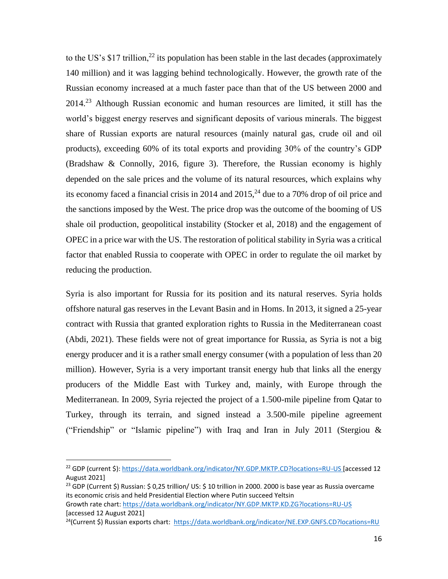to the US's \$17 trillion,<sup>22</sup> its population has been stable in the last decades (approximately 140 million) and it was lagging behind technologically. However, the growth rate of the Russian economy increased at a much faster pace than that of the US between 2000 and 2014.<sup>23</sup> Although Russian economic and human resources are limited, it still has the world's biggest energy reserves and significant deposits of various minerals. The biggest share of Russian exports are natural resources (mainly natural gas, crude oil and oil products), exceeding 60% of its total exports and providing 30% of the country's GDP (Bradshaw & Connolly, 2016, figure 3). Therefore, the Russian economy is highly depended on the sale prices and the volume of its natural resources, which explains why its economy faced a financial crisis in 2014 and  $2015<sup>24</sup>$  due to a 70% drop of oil price and the sanctions imposed by the West. The price drop was the outcome of the booming of US shale oil production, geopolitical instability (Stocker et al, 2018) and the engagement of OPEC in a price war with the US. The restoration of political stability in Syria was a critical factor that enabled Russia to cooperate with OPEC in order to regulate the oil market by reducing the production.

Syria is also important for Russia for its position and its natural reserves. Syria holds offshore natural gas reserves in the Levant Basin and in Homs. In 2013, it signed a 25-year contract with Russia that granted exploration rights to Russia in the Mediterranean coast (Abdi, 2021). These fields were not of great importance for Russia, as Syria is not a big energy producer and it is a rather small energy consumer (with a population of less than 20 million). However, Syria is a very important transit energy hub that links all the energy producers of the Middle East with Turkey and, mainly, with Europe through the Mediterranean. In 2009, Syria rejected the project of a 1.500-mile pipeline from Qatar to Turkey, through its terrain, and signed instead a 3.500-mile pipeline agreement ("Friendship" or "Islamic pipeline") with Iraq and Iran in July 2011 (Stergiou &

<sup>22</sup> GDP (current \$):<https://data.worldbank.org/indicator/NY.GDP.MKTP.CD?locations=RU-US> [accessed 12 August 2021]

<sup>&</sup>lt;sup>23</sup> GDP (Current \$) Russian: \$ 0,25 trillion/ US: \$ 10 trillion in 2000. 2000 is base year as Russia overcame its economic crisis and held Presidential Election where Putin succeed Yeltsin

Growth rate chart:<https://data.worldbank.org/indicator/NY.GDP.MKTP.KD.ZG?locations=RU-US> [accessed 12 August 2021]

<sup>&</sup>lt;sup>24</sup>(Current \$) Russian exports chart:<https://data.worldbank.org/indicator/NE.EXP.GNFS.CD?locations=RU>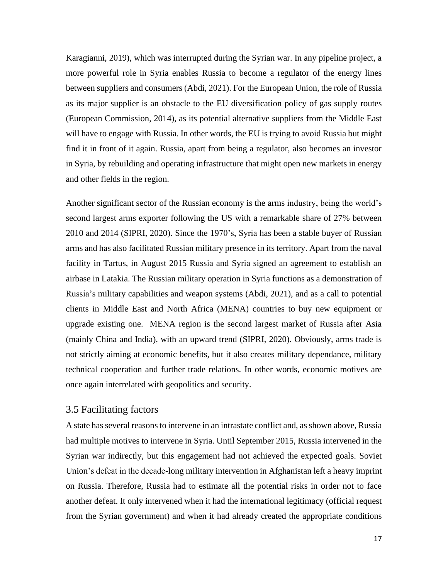Karagianni, 2019), which was interrupted during the Syrian war. In any pipeline project, a more powerful role in Syria enables Russia to become a regulator of the energy lines between suppliers and consumers (Abdi, 2021). For the European Union, the role of Russia as its major supplier is an obstacle to the EU diversification policy of gas supply routes (European Commission, 2014), as its potential alternative suppliers from the Middle East will have to engage with Russia. In other words, the EU is trying to avoid Russia but might find it in front of it again. Russia, apart from being a regulator, also becomes an investor in Syria, by rebuilding and operating infrastructure that might open new markets in energy and other fields in the region.

Another significant sector of the Russian economy is the arms industry, being the world's second largest arms exporter following the US with a remarkable share of 27% between 2010 and 2014 (SIPRI, 2020). Since the 1970's, Syria has been a stable buyer of Russian arms and has also facilitated Russian military presence in its territory. Apart from the naval facility in Tartus, in August 2015 Russia and Syria signed an agreement to establish an airbase in Latakia. The Russian military operation in Syria functions as a demonstration of Russia's military capabilities and weapon systems (Abdi, 2021), and as a call to potential clients in Middle East and North Africa (MENA) countries to buy new equipment or upgrade existing one. MENA region is the second largest market of Russia after Asia (mainly China and India), with an upward trend (SIPRI, 2020). Obviously, arms trade is not strictly aiming at economic benefits, but it also creates military dependance, military technical cooperation and further trade relations. In other words, economic motives are once again interrelated with geopolitics and security.

### <span id="page-20-0"></span>3.5 Facilitating factors

A state has several reasons to intervene in an intrastate conflict and, as shown above, Russia had multiple motives to intervene in Syria. Until September 2015, Russia intervened in the Syrian war indirectly, but this engagement had not achieved the expected goals. Soviet Union's defeat in the decade-long military intervention in Afghanistan left a heavy imprint on Russia. Therefore, Russia had to estimate all the potential risks in order not to face another defeat. It only intervened when it had the international legitimacy (official request from the Syrian government) and when it had already created the appropriate conditions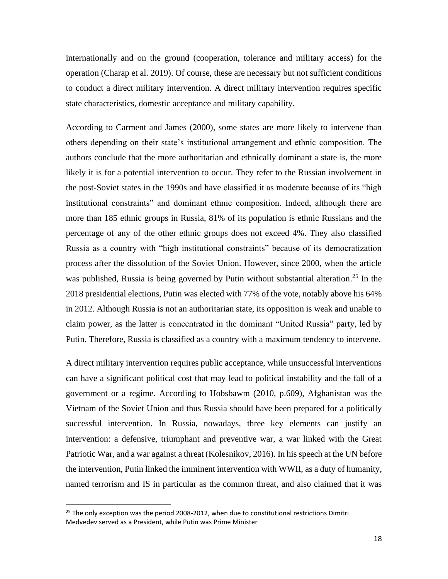internationally and on the ground (cooperation, tolerance and military access) for the operation (Charap et al. 2019). Of course, these are necessary but not sufficient conditions to conduct a direct military intervention. A direct military intervention requires specific state characteristics, domestic acceptance and military capability.

According to Carment and James (2000), some states are more likely to intervene than others depending on their state's institutional arrangement and ethnic composition. The authors conclude that the more authoritarian and ethnically dominant a state is, the more likely it is for a potential intervention to occur. They refer to the Russian involvement in the post-Soviet states in the 1990s and have classified it as moderate because of its "high institutional constraints" and dominant ethnic composition. Indeed, although there are more than 185 ethnic groups in Russia, 81% of its population is ethnic Russians and the percentage of any of the other ethnic groups does not exceed 4%. They also classified Russia as a country with "high institutional constraints" because of its democratization process after the dissolution of the Soviet Union. However, since 2000, when the article was published, Russia is being governed by Putin without substantial alteration.<sup>25</sup> In the 2018 presidential elections, Putin was elected with 77% of the vote, notably above his 64% in 2012. Although Russia is not an authoritarian state, its opposition is weak and unable to claim power, as the latter is concentrated in the dominant "United Russia" party, led by Putin. Therefore, Russia is classified as a country with a maximum tendency to intervene.

A direct military intervention requires public acceptance, while unsuccessful interventions can have a significant political cost that may lead to political instability and the fall of a government or a regime. According to Hobsbawm (2010, p.609), Afghanistan was the Vietnam of the Soviet Union and thus Russia should have been prepared for a politically successful intervention. In Russia, nowadays, three key elements can justify an intervention: a defensive, triumphant and preventive war, a war linked with the Great Patriotic War, and a war against a threat (Kolesnikov, 2016). In his speech at the UN before the intervention, Putin linked the imminent intervention with WWII, as a duty of humanity, named terrorism and IS in particular as the common threat, and also claimed that it was

 $25$  The only exception was the period 2008-2012, when due to constitutional restrictions Dimitri Medvedev served as a President, while Putin was Prime Minister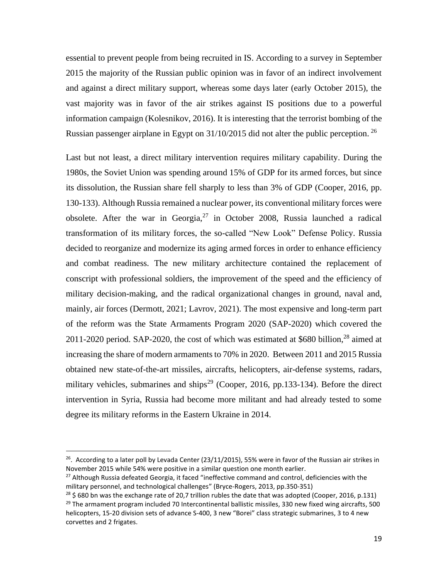essential to prevent people from being recruited in IS. According to a survey in September 2015 the majority of the Russian public opinion was in favor of an indirect involvement and against a direct military support, whereas some days later (early October 2015), the vast majority was in favor of the air strikes against IS positions due to a powerful information campaign (Kolesnikov, 2016). It is interesting that the terrorist bombing of the Russian passenger airplane in Egypt on 31/10/2015 did not alter the public perception. <sup>26</sup>

Last but not least, a direct military intervention requires military capability. During the 1980s, the Soviet Union was spending around 15% of GDP for its armed forces, but since its dissolution, the Russian share fell sharply to less than 3% of GDP (Cooper, 2016, pp. 130-133). Although Russia remained a nuclear power, its conventional military forces were obsolete. After the war in Georgia,  $27$  in October 2008, Russia launched a radical transformation of its military forces, the so-called "New Look" Defense Policy. Russia decided to reorganize and modernize its aging armed forces in order to enhance efficiency and combat readiness. The new military architecture contained the replacement of conscript with professional soldiers, the improvement of the speed and the efficiency of military decision-making, and the radical organizational changes in ground, naval and, mainly, air forces (Dermott, 2021; Lavrov, 2021). The most expensive and long-term part of the reform was the State Armaments Program 2020 (SAP-2020) which covered the 2011-2020 period. SAP-2020, the cost of which was estimated at \$680 billion,<sup>28</sup> aimed at increasing the share of modern armaments to 70% in 2020. Between 2011 and 2015 Russia obtained new state-of-the-art missiles, aircrafts, helicopters, air-defense systems, radars, military vehicles, submarines and ships<sup>29</sup> (Cooper, 2016, pp.133-134). Before the direct intervention in Syria, Russia had become more militant and had already tested to some degree its military reforms in the Eastern Ukraine in 2014.

<sup>&</sup>lt;sup>26</sup>. According to a later poll by Levada Center (23/11/2015), 55% were in favor of the Russian air strikes in November 2015 while 54% were positive in a similar question one month earlier.

<sup>&</sup>lt;sup>27</sup> Although Russia defeated Georgia, it faced "ineffective command and control, deficiencies with the military personnel, and technological challenges" (Bryce-Rogers, 2013, pp.350-351)

 $^{28}$  \$ 680 bn was the exchange rate of 20,7 trillion rubles the date that was adopted (Cooper, 2016, p.131)  $29$  The armament program included 70 Intercontinental ballistic missiles, 330 new fixed wing aircrafts, 500 helicopters, 15-20 division sets of advance S-400, 3 new "Borei" class strategic submarines, 3 to 4 new corvettes and 2 frigates.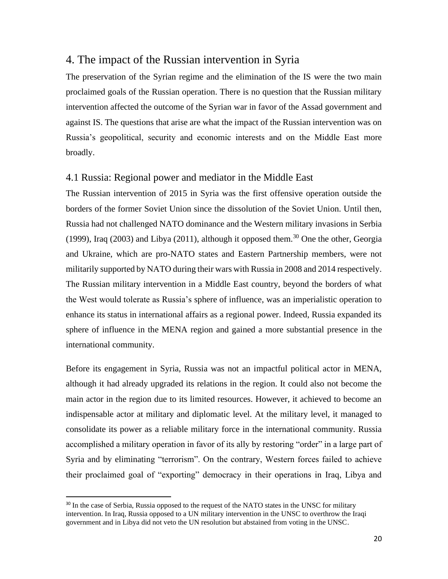### <span id="page-23-0"></span>4. The impact of the Russian intervention in Syria

The preservation of the Syrian regime and the elimination of the IS were the two main proclaimed goals of the Russian operation. There is no question that the Russian military intervention affected the outcome of the Syrian war in favor of the Assad government and against IS. The questions that arise are what the impact of the Russian intervention was on Russia's geopolitical, security and economic interests and on the Middle East more broadly.

### <span id="page-23-1"></span>4.1 Russia: Regional power and mediator in the Middle East

The Russian intervention of 2015 in Syria was the first offensive operation outside the borders of the former Soviet Union since the dissolution of the Soviet Union. Until then, Russia had not challenged NATO dominance and the Western military invasions in Serbia (1999), Iraq (2003) and Libya (2011), although it opposed them.<sup>30</sup> One the other, Georgia and Ukraine, which are pro-NATO states and Eastern Partnership members, were not militarily supported by ΝΑΤΟ during their wars with Russia in 2008 and 2014 respectively. The Russian military intervention in a Middle East country, beyond the borders of what the West would tolerate as Russia's sphere of influence, was an imperialistic operation to enhance its status in international affairs as a regional power. Indeed, Russia expanded its sphere of influence in the MENA region and gained a more substantial presence in the international community.

Before its engagement in Syria, Russia was not an impactful political actor in MENA, although it had already upgraded its relations in the region. It could also not become the main actor in the region due to its limited resources. However, it achieved to become an indispensable actor at military and diplomatic level. At the military level, it managed to consolidate its power as a reliable military force in the international community. Russia accomplished a military operation in favor of its ally by restoring "order" in a large part of Syria and by eliminating "terrorism". On the contrary, Western forces failed to achieve their proclaimed goal of "exporting" democracy in their operations in Iraq, Libya and

<sup>&</sup>lt;sup>30</sup> In the case of Serbia, Russia opposed to the request of the NATO states in the UNSC for military intervention. In Iraq, Russia opposed to a UN military intervention in the UNSC to overthrow the Iraqi government and in Libya did not veto the UN resolution but abstained from voting in the UNSC.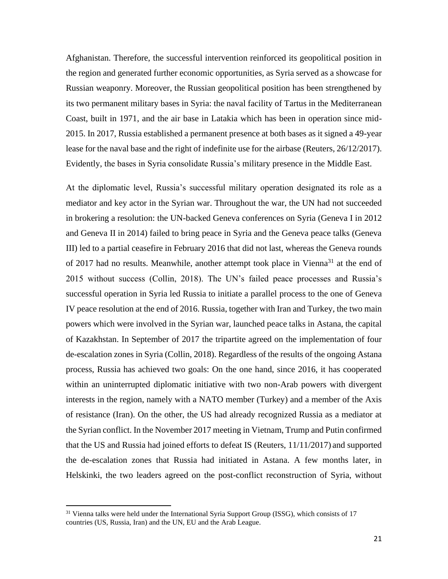Afghanistan. Therefore, the successful intervention reinforced its geopolitical position in the region and generated further economic opportunities, as Syria served as a showcase for Russian weaponry. Moreover, the Russian geopolitical position has been strengthened by its two permanent military bases in Syria: the naval facility of Tartus in the Mediterranean Coast, built in 1971, and the air base in Latakia which has been in operation since mid-2015. In 2017, Russia established a permanent presence at both bases as it signed a 49-year lease for the naval base and the right of indefinite use for the airbase (Reuters, 26/12/2017). Evidently, the bases in Syria consolidate Russia's military presence in the Middle East.

At the diplomatic level, Russia's successful military operation designated its role as a mediator and key actor in the Syrian war. Throughout the war, the UN had not succeeded in brokering a resolution: the UN-backed Geneva conferences on Syria (Geneva I in 2012 and Geneva II in 2014) failed to bring peace in Syria and the Geneva peace talks (Geneva III) led to a partial ceasefire in February 2016 that did not last, whereas the Geneva rounds of 2017 had no results. Meanwhile, another attempt took place in Vienna<sup>31</sup> at the end of 2015 without success (Collin, 2018). The UN's failed peace processes and Russia's successful operation in Syria led Russia to initiate a parallel process to the one of Geneva IV peace resolution at the end of 2016. Russia, together with Iran and Turkey, the two main powers which were involved in the Syrian war, launched peace talks in Astana, the capital of Kazakhstan. In September of 2017 the tripartite agreed on the implementation of four de-escalation zones in Syria (Collin, 2018). Regardless of the results of the ongoing Astana process, Russia has achieved two goals: On the one hand, since 2016, it has cooperated within an uninterrupted diplomatic initiative with two non-Arab powers with divergent interests in the region, namely with a NATO member (Turkey) and a member of the Axis of resistance (Iran). On the other, the US had already recognized Russia as a mediator at the Syrian conflict. In the November 2017 meeting in Vietnam, Trump and Putin confirmed that the US and Russia had joined efforts to defeat IS (Reuters, 11/11/2017) and supported the de-escalation zones that Russia had initiated in Astana. A few months later, in Helskinki, the two leaders agreed on the post-conflict reconstruction of Syria, without

<sup>&</sup>lt;sup>31</sup> Vienna talks were held under the International Syria Support Group (ISSG), which consists of 17 countries (US, Russia, Iran) and the UN, EU and the Arab League.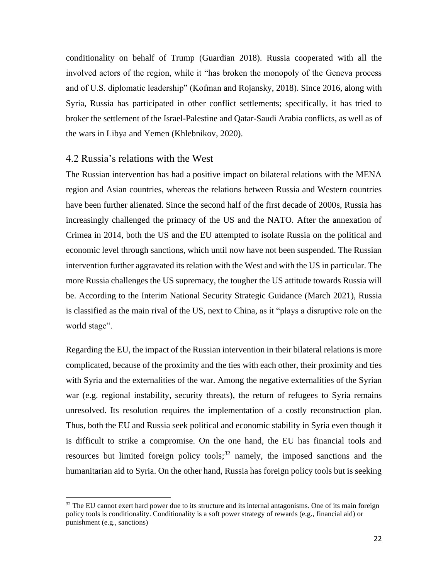conditionality on behalf of Trump (Guardian 2018). Russia cooperated with all the involved actors of the region, while it "has broken the monopoly of the Geneva process and of U.S. diplomatic leadership" (Kofman and Rojansky, 2018). Since 2016, along with Syria, Russia has participated in other conflict settlements; specifically, it has tried to broker the settlement of the Israel-Palestine and Qatar-Saudi Arabia conflicts, as well as of the wars in Libya and Yemen (Khlebnikov, 2020).

#### <span id="page-25-0"></span>4.2 Russia's relations with the West

The Russian intervention has had a positive impact on bilateral relations with the MENA region and Asian countries, whereas the relations between Russia and Western countries have been further alienated. Since the second half of the first decade of 2000s, Russia has increasingly challenged the primacy of the US and the NATO. After the annexation of Crimea in 2014, both the US and the EU attempted to isolate Russia on the political and economic level through sanctions, which until now have not been suspended. The Russian intervention further aggravated its relation with the West and with the US in particular. The more Russia challenges the US supremacy, the tougher the US attitude towards Russia will be. According to the Interim National Security Strategic Guidance (March 2021), Russia is classified as the main rival of the US, next to China, as it "plays a disruptive role on the world stage".

Regarding the EU, the impact of the Russian intervention in their bilateral relations is more complicated, because of the proximity and the ties with each other, their proximity and ties with Syria and the externalities of the war. Among the negative externalities of the Syrian war (e.g. regional instability, security threats), the return of refugees to Syria remains unresolved. Its resolution requires the implementation of a costly reconstruction plan. Thus, both the EU and Russia seek political and economic stability in Syria even though it is difficult to strike a compromise. On the one hand, the EU has financial tools and resources but limited foreign policy tools;<sup>32</sup> namely, the imposed sanctions and the humanitarian aid to Syria. On the other hand, Russia has foreign policy tools but is seeking

<sup>&</sup>lt;sup>32</sup> The EU cannot exert hard power due to its structure and its internal antagonisms. One of its main foreign policy tools is conditionality. Conditionality is a soft power strategy of rewards (e.g., financial aid) or punishment (e.g., sanctions)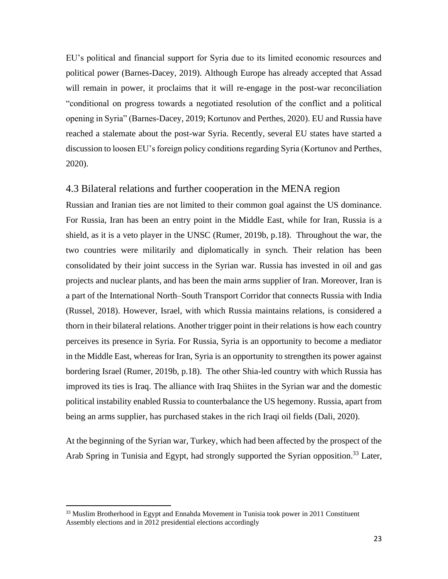EU's political and financial support for Syria due to its limited economic resources and political power (Barnes-Dacey, 2019). Although Europe has already accepted that Assad will remain in power, it proclaims that it will re-engage in the post-war reconciliation "conditional on progress towards a negotiated resolution of the conflict and a political opening in Syria" (Barnes-Dacey, 2019; Kortunov and Perthes, 2020). EU and Russia have reached a stalemate about the post-war Syria. Recently, several EU states have started a discussion to loosen EU's foreign policy conditions regarding Syria (Kortunov and Perthes, 2020).

### <span id="page-26-0"></span>4.3 Bilateral relations and further cooperation in the MENA region

Russian and Iranian ties are not limited to their common goal against the US dominance. For Russia, Iran has been an entry point in the Middle East, while for Iran, Russia is a shield, as it is a veto player in the UNSC (Rumer, 2019b, p.18). Throughout the war, the two countries were militarily and diplomatically in synch. Their relation has been consolidated by their joint success in the Syrian war. Russia has invested in oil and gas projects and nuclear plants, and has been the main arms supplier of Iran. Moreover, Iran is a part of the International North–South Transport Corridor that connects Russia with India (Russel, 2018). However, Israel, with which Russia maintains relations, is considered a thorn in their bilateral relations. Another trigger point in their relations is how each country perceives its presence in Syria. For Russia, Syria is an opportunity to become a mediator in the Middle East, whereas for Iran, Syria is an opportunity to strengthen its power against bordering Israel (Rumer, 2019b, p.18). The other Shia-led country with which Russia has improved its ties is Iraq. The alliance with Iraq Shiites in the Syrian war and the domestic political instability enabled Russia to counterbalance the US hegemony. Russia, apart from being an arms supplier, has purchased stakes in the rich Iraqi oil fields (Dali, 2020).

At the beginning of the Syrian war, Turkey, which had been affected by the prospect of the Arab Spring in Tunisia and Egypt, had strongly supported the Syrian opposition.<sup>33</sup> Later,

 $33$  Muslim Brotherhood in Egypt and Ennahda Movement in Tunisia took power in 2011 Constituent Assembly elections and in 2012 presidential elections accordingly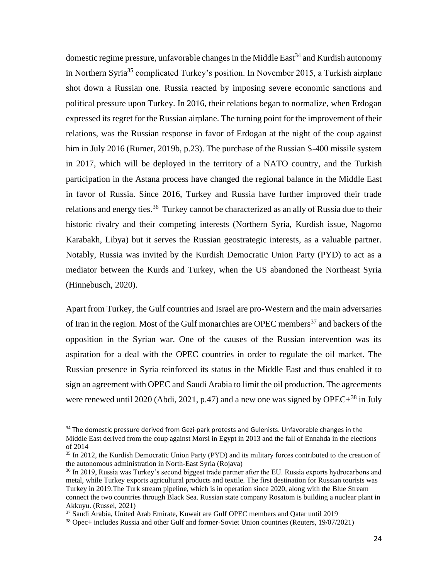domestic regime pressure, unfavorable changes in the Middle  $East^{34}$  and Kurdish autonomy in Northern Syria<sup>35</sup> complicated Turkey's position. In November 2015, a Turkish airplane shot down a Russian one. Russia reacted by imposing severe economic sanctions and political pressure upon Turkey. In 2016, their relations began to normalize, when Erdogan expressed its regret for the Russian airplane. The turning point for the improvement of their relations, was the Russian response in favor of Erdogan at the night of the coup against him in July 2016 (Rumer, 2019b, p.23). The purchase of the Russian S-400 missile system in 2017, which will be deployed in the territory of a NATO country, and the Turkish participation in the Astana process have changed the regional balance in the Middle East in favor of Russia. Since 2016, Turkey and Russia have further improved their trade relations and energy ties.<sup>36</sup> Turkey cannot be characterized as an ally of Russia due to their historic rivalry and their competing interests (Northern Syria, Kurdish issue, Nagorno Karabakh, Libya) but it serves the Russian geostrategic interests, as a valuable partner. Notably, Russia was invited by the Kurdish Democratic Union Party (PYD) to act as a mediator between the Kurds and Turkey, when the US abandoned the Northeast Syria (Hinnebusch, 2020).

Apart from Turkey, the Gulf countries and Israel are pro-Western and the main adversaries of Iran in the region. Most of the Gulf monarchies are OPEC members<sup>37</sup> and backers of the opposition in the Syrian war. One of the causes of the Russian intervention was its aspiration for a deal with the OPEC countries in order to regulate the oil market. The Russian presence in Syria reinforced its status in the Middle East and thus enabled it to sign an agreement with OPEC and Saudi Arabia to limit the oil production. The agreements were renewed until 2020 (Abdi, 2021, p.47) and a new one was signed by OPEC+ $^{38}$  in July

<sup>&</sup>lt;sup>34</sup> The domestic pressure derived from Gezi-park protests and Gulenists. Unfavorable changes in the Middle East derived from the coup against Morsi in Egypt in 2013 and the fall of Ennahda in the elections of 2014

<sup>&</sup>lt;sup>35</sup> In 2012, the Kurdish Democratic Union Party (PYD) and its military forces contributed to the creation of the autonomous administration in North-East Syria (Rojava)

<sup>&</sup>lt;sup>36</sup> In 2019, Russia was Turkey's second biggest trade partner after the EU. Russia exports hydrocarbons and metal, while Turkey exports agricultural products and textile. The first destination for Russian tourists was Turkey in 2019.The Turk stream pipeline, which is in operation since 2020, along with the Blue Stream connect the two countries through Black Sea. Russian state company Rosatom is building a nuclear plant in Akkuyu. (Russel, 2021)

<sup>&</sup>lt;sup>37</sup> Saudi Arabia, United Arab Emirate, Kuwait are Gulf OPEC members and Qatar until 2019

<sup>38</sup> Opec+ includes Russia and other Gulf and former-Soviet Union countries (Reuters, 19/07/2021)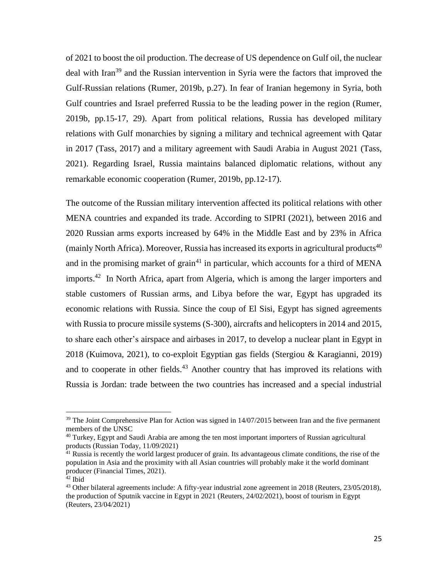of 2021 to boost the oil production. The decrease of US dependence on Gulf oil, the nuclear deal with Iran<sup>39</sup> and the Russian intervention in Syria were the factors that improved the Gulf-Russian relations (Rumer, 2019b, p.27). In fear of Iranian hegemony in Syria, both Gulf countries and Israel preferred Russia to be the leading power in the region (Rumer, 2019b, pp.15-17, 29). Apart from political relations, Russia has developed military relations with Gulf monarchies by signing a military and technical agreement with Qatar in 2017 (Tass, 2017) and a military agreement with Saudi Arabia in August 2021 (Tass, 2021). Regarding Israel, Russia maintains balanced diplomatic relations, without any remarkable economic cooperation (Rumer, 2019b, pp.12-17).

The outcome of the Russian military intervention affected its political relations with other MENA countries and expanded its trade. According to SIPRI (2021), between 2016 and 2020 Russian arms exports increased by 64% in the Middle East and by 23% in Africa (mainly North Africa). Moreover, Russia has increased its exports in agricultural products<sup>40</sup> and in the promising market of grain<sup>41</sup> in particular, which accounts for a third of MENA imports.<sup>42</sup> In North Africa, apart from Algeria, which is among the larger importers and stable customers of Russian arms, and Libya before the war, Egypt has upgraded its economic relations with Russia. Since the coup of El Sisi, Egypt has signed agreements with Russia to procure missile systems (S-300), aircrafts and helicopters in 2014 and 2015, to share each other's airspace and airbases in 2017, to develop a nuclear plant in Egypt in 2018 (Kuimova, 2021), to co-exploit Egyptian gas fields (Stergiou & Karagianni, 2019) and to cooperate in other fields.<sup>43</sup> Another country that has improved its relations with Russia is Jordan: trade between the two countries has increased and a special industrial

 $39$  The Joint Comprehensive Plan for Action was signed in  $14/07/2015$  between Iran and the five permanent members of the UNSC

<sup>&</sup>lt;sup>40</sup> Turkey, Egypt and Saudi Arabia are among the ten most important importers of Russian agricultural products (Russian Today, 11/09/2021)

 $41$  Russia is recently the world largest producer of grain. Its advantageous climate conditions, the rise of the population in Asia and the proximity with all Asian countries will probably make it the world dominant producer (Financial Times, 2021).

 $42$  Ibid

 $43$  Other bilateral agreements include: A fifty-year industrial zone agreement in 2018 (Reuters,  $23/05/2018$ ), the production of Sputnik vaccine in Egypt in 2021 (Reuters, 24/02/2021), boost of tourism in Egypt (Reuters, 23/04/2021)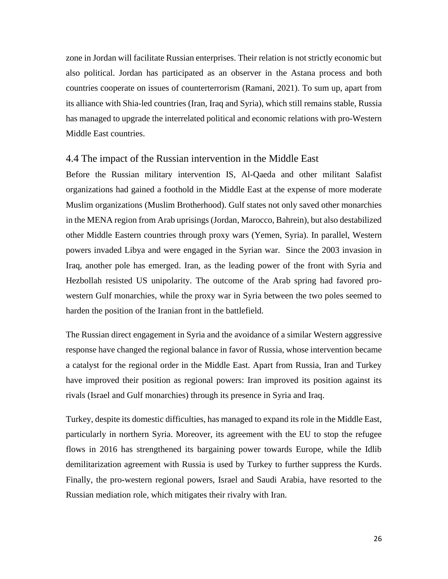zone in Jordan will facilitate Russian enterprises. Their relation is not strictly economic but also political. Jordan has participated as an observer in the Astana process and both countries cooperate on issues of counterterrorism (Ramani, 2021). To sum up, apart from its alliance with Shia-led countries (Iran, Iraq and Syria), which still remains stable, Russia has managed to upgrade the interrelated political and economic relations with pro-Western Middle East countries.

### <span id="page-29-0"></span>4.4 The impact of the Russian intervention in the Middle East

Before the Russian military intervention IS, Al-Qaeda and other militant Salafist organizations had gained a foothold in the Middle East at the expense of more moderate Muslim organizations (Muslim Brotherhood). Gulf states not only saved other monarchies in the MENA region from Arab uprisings (Jordan, Marocco, Bahrein), but also destabilized other Middle Eastern countries through proxy wars (Yemen, Syria). In parallel, Western powers invaded Libya and were engaged in the Syrian war. Since the 2003 invasion in Iraq, another pole has emerged. Iran, as the leading power of the front with Syria and Hezbollah resisted US unipolarity. The outcome of the Arab spring had favored prowestern Gulf monarchies, while the proxy war in Syria between the two poles seemed to harden the position of the Iranian front in the battlefield.

The Russian direct engagement in Syria and the avoidance of a similar Western aggressive response have changed the regional balance in favor of Russia, whose intervention became a catalyst for the regional order in the Middle East. Apart from Russia, Iran and Turkey have improved their position as regional powers: Iran improved its position against its rivals (Israel and Gulf monarchies) through its presence in Syria and Iraq.

Turkey, despite its domestic difficulties, has managed to expand its role in the Middle East, particularly in northern Syria. Moreover, its agreement with the EU to stop the refugee flows in 2016 has strengthened its bargaining power towards Europe, while the Idlib demilitarization agreement with Russia is used by Turkey to further suppress the Kurds. Finally, the pro-western regional powers, Israel and Saudi Arabia, have resorted to the Russian mediation role, which mitigates their rivalry with Iran.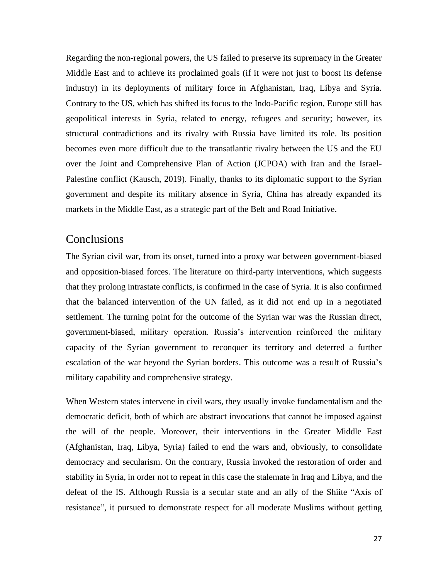Regarding the non-regional powers, the US failed to preserve its supremacy in the Greater Middle East and to achieve its proclaimed goals (if it were not just to boost its defense industry) in its deployments of military force in Afghanistan, Iraq, Libya and Syria. Contrary to the US, which has shifted its focus to the Indo-Pacific region, Europe still has geopolitical interests in Syria, related to energy, refugees and security; however, its structural contradictions and its rivalry with Russia have limited its role. Its position becomes even more difficult due to the transatlantic rivalry between the US and the EU over the Joint and Comprehensive Plan of Action (JCPOA) with Iran and the Israel-Palestine conflict (Kausch, 2019). Finally, thanks to its diplomatic support to the Syrian government and despite its military absence in Syria, China has already expanded its markets in the Middle East, as a strategic part of the Belt and Road Initiative.

## <span id="page-30-0"></span>**Conclusions**

The Syrian civil war, from its onset, turned into a proxy war between government-biased and opposition-biased forces. The literature on third-party interventions, which suggests that they prolong intrastate conflicts, is confirmed in the case of Syria. It is also confirmed that the balanced intervention of the UN failed, as it did not end up in a negotiated settlement. The turning point for the outcome of the Syrian war was the Russian direct, government-biased, military operation. Russia's intervention reinforced the military capacity of the Syrian government to reconquer its territory and deterred a further escalation of the war beyond the Syrian borders. This outcome was a result of Russia's military capability and comprehensive strategy.

When Western states intervene in civil wars, they usually invoke fundamentalism and the democratic deficit, both of which are abstract invocations that cannot be imposed against the will of the people. Moreover, their interventions in the Greater Middle East (Afghanistan, Iraq, Libya, Syria) failed to end the wars and, obviously, to consolidate democracy and secularism. On the contrary, Russia invoked the restoration of order and stability in Syria, in order not to repeat in this case the stalemate in Iraq and Libya, and the defeat of the IS. Although Russia is a secular state and an ally of the Shiite "Axis of resistance", it pursued to demonstrate respect for all moderate Muslims without getting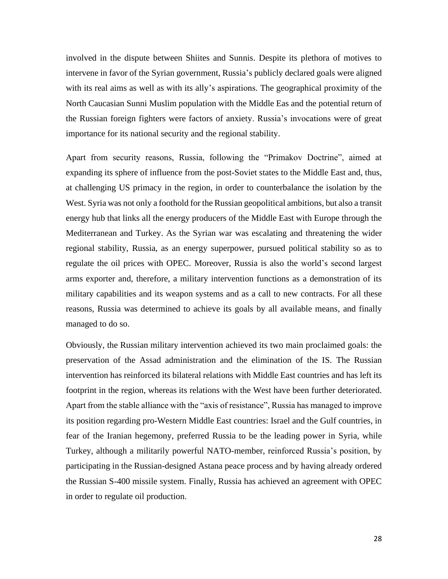involved in the dispute between Shiites and Sunnis. Despite its plethora of motives to intervene in favor of the Syrian government, Russia's publicly declared goals were aligned with its real aims as well as with its ally's aspirations. The geographical proximity of the North Caucasian Sunni Muslim population with the Middle Eas and the potential return of the Russian foreign fighters were factors of anxiety. Russia's invocations were of great importance for its national security and the regional stability.

Apart from security reasons, Russia, following the "Primakov Doctrine", aimed at expanding its sphere of influence from the post-Soviet states to the Middle East and, thus, at challenging US primacy in the region, in order to counterbalance the isolation by the West. Syria was not only a foothold for the Russian geopolitical ambitions, but also a transit energy hub that links all the energy producers of the Middle East with Europe through the Mediterranean and Turkey. As the Syrian war was escalating and threatening the wider regional stability, Russia, as an energy superpower, pursued political stability so as to regulate the oil prices with OPEC. Moreover, Russia is also the world's second largest arms exporter and, therefore, a military intervention functions as a demonstration of its military capabilities and its weapon systems and as a call to new contracts. For all these reasons, Russia was determined to achieve its goals by all available means, and finally managed to do so.

Obviously, the Russian military intervention achieved its two main proclaimed goals: the preservation of the Assad administration and the elimination of the IS. The Russian intervention has reinforced its bilateral relations with Middle East countries and has left its footprint in the region, whereas its relations with the West have been further deteriorated. Apart from the stable alliance with the "axis of resistance", Russia has managed to improve its position regarding pro-Western Middle East countries: Israel and the Gulf countries, in fear of the Iranian hegemony, preferred Russia to be the leading power in Syria, while Turkey, although a militarily powerful NATO-member, reinforced Russia's position, by participating in the Russian-designed Astana peace process and by having already ordered the Russian S-400 missile system. Finally, Russia has achieved an agreement with OPEC in order to regulate oil production.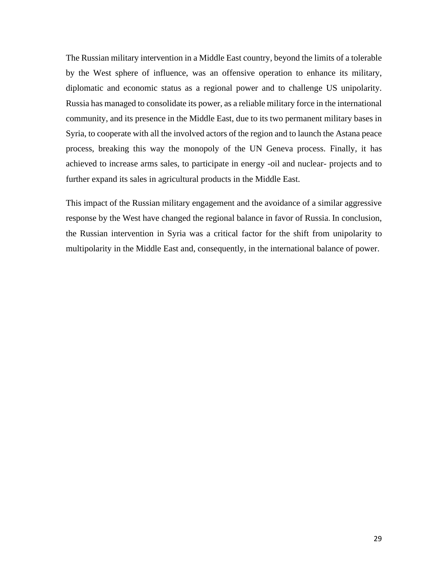The Russian military intervention in a Middle East country, beyond the limits of a tolerable by the West sphere of influence, was an offensive operation to enhance its military, diplomatic and economic status as a regional power and to challenge US unipolarity. Russia has managed to consolidate its power, as a reliable military force in the international community, and its presence in the Middle East, due to its two permanent military bases in Syria, to cooperate with all the involved actors of the region and to launch the Astana peace process, breaking this way the monopoly of the UN Geneva process. Finally, it has achieved to increase arms sales, to participate in energy -oil and nuclear- projects and to further expand its sales in agricultural products in the Middle East.

This impact of the Russian military engagement and the avoidance of a similar aggressive response by the West have changed the regional balance in favor of Russia. In conclusion, the Russian intervention in Syria was a critical factor for the shift from unipolarity to multipolarity in the Middle East and, consequently, in the international balance of power.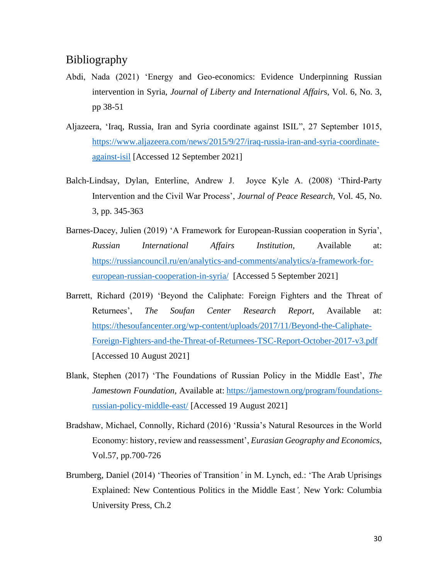# <span id="page-33-0"></span>Bibliography

- Abdi, Nada (2021) 'Energy and Geo-economics: Evidence Underpinning Russian intervention in Syria, *Journal of Liberty and International Affair*s, Vol. 6, No. 3, pp 38-51
- Aljazeera, 'Iraq, Russia, Iran and Syria coordinate against ISIL", 27 September 1015, [https://www.aljazeera.com/news/2015/9/27/iraq-russia-iran-and-syria-coordinate](https://www.aljazeera.com/news/2015/9/27/iraq-russia-iran-and-syria-coordinate-against-isil)[against-isil](https://www.aljazeera.com/news/2015/9/27/iraq-russia-iran-and-syria-coordinate-against-isil) [Accessed 12 September 2021]
- Balch-Lindsay, Dylan, Enterline, Andrew J. Joyce Kyle A. (2008) 'Third-Party Intervention and the Civil War Process', *Journal of Peace Research*, Vol. 45, No. 3, pp. 345-363
- Barnes-Dacey, Julien (2019) 'A Framework for European-Russian cooperation in Syria', *Russian International Affairs Institution,* Available at: [https://russiancouncil.ru/en/analytics-and-comments/analytics/a-framework-for](https://russiancouncil.ru/en/analytics-and-comments/analytics/a-framework-for-european-russian-cooperation-in-syria/)[european-russian-cooperation-in-syria/](https://russiancouncil.ru/en/analytics-and-comments/analytics/a-framework-for-european-russian-cooperation-in-syria/)[Accessed 5 September 2021]
- Barrett, Richard (2019) 'Beyond the Caliphate: Foreign Fighters and the Threat of Returnees', *The Soufan Center Research Report,* Available at: [https://thesoufancenter.org/wp-content/uploads/2017/11/Beyond-the-Caliphate-](https://thesoufancenter.org/wp-content/uploads/2017/11/Beyond-the-Caliphate-Foreign-Fighters-and-the-Threat-of-Returnees-TSC-Report-October-2017-v3.pdf)[Foreign-Fighters-and-the-Threat-of-Returnees-TSC-Report-October-2017-v3.pdf](https://thesoufancenter.org/wp-content/uploads/2017/11/Beyond-the-Caliphate-Foreign-Fighters-and-the-Threat-of-Returnees-TSC-Report-October-2017-v3.pdf) [Accessed 10 August 2021]
- Blank, Stephen (2017) 'The Foundations of Russian Policy in the Middle East', *The Jamestown Foundation,* Available at: [https://jamestown.org/program/foundations](https://jamestown.org/program/foundations-russian-policy-middle-east/)[russian-policy-middle-east/](https://jamestown.org/program/foundations-russian-policy-middle-east/) [Accessed 19 August 2021]
- Bradshaw, Michael, Connolly, Richard (2016) 'Russia's Natural Resources in the World Economy: history, review and reassessment', *Eurasian Geography and Economics,*  Vol.57, pp.700-726
- Brumberg, Daniel (2014) 'Theories of Transition*'* in M. Lynch, ed.: 'The Arab Uprisings Explained: New Contentious Politics in the Middle East*',* New York: Columbia University Press, Ch.2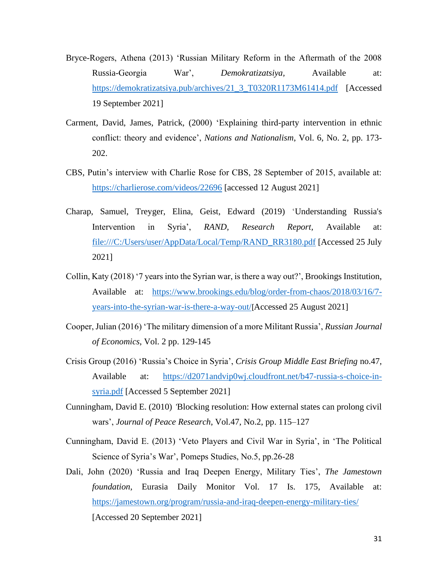- Bryce-Rogers, Athena (2013) 'Russian Military Reform in the Aftermath of the 2008 Russia-Georgia War', *Demokratizatsiya,* Available at: [https://demokratizatsiya.pub/archives/21\\_3\\_T0320R1173M61414.pdf](https://demokratizatsiya.pub/archives/21_3_T0320R1173M61414.pdf) [Accessed 19 September 2021]
- Carment, David, James, Patrick, (2000) 'Explaining third-party intervention in ethnic conflict: theory and evidence', *Nations and Nationalism*, Vol. 6, No. 2, pp. 173- 202.
- CBS, Putin's interview with Charlie Rose for CBS, 28 September of 2015, available at: <https://charlierose.com/videos/22696> [accessed 12 August 2021]
- Charap, Samuel, Treyger, Elina, Geist, Edward (2019) 'Understanding Russia's Intervention in Syria', *RAND, Research Report,* Available at: [file:///C:/Users/user/AppData/Local/Temp/RAND\\_RR3180.pdf](file:///C:/Users/user/AppData/Local/Temp/RAND_RR3180.pdf) [Accessed 25 July 2021]
- Collin, Katy (2018) '7 years into the Syrian war, is there a way out?', Brookings Institution, Available at: [https://www.brookings.edu/blog/order-from-chaos/2018/03/16/7](https://www.brookings.edu/blog/order-from-chaos/2018/03/16/7-years-into-the-syrian-war-is-there-a-way-out/) [years-into-the-syrian-war-is-there-a-way-out/](https://www.brookings.edu/blog/order-from-chaos/2018/03/16/7-years-into-the-syrian-war-is-there-a-way-out/)[Accessed 25 August 2021]
- Cooper, Julian (2016) 'The military dimension of a more Militant Russia', *Russian Journal of Economics*, Vol. 2 pp. 129-145
- Crisis Group (2016) 'Russia's Choice in Syria', *Crisis Group Middle East Briefing* no.47, Available at: [https://d2071andvip0wj.cloudfront.net/b47-russia-s-choice-in](https://d2071andvip0wj.cloudfront.net/b47-russia-s-choice-in-syria.pdf)[syria.pdf](https://d2071andvip0wj.cloudfront.net/b47-russia-s-choice-in-syria.pdf) [Accessed 5 September 2021]
- Cunningham, David E. (2010) *'*Blocking resolution: How external states can prolong civil wars', *Journal of Peace Research*, Vol.47, No.2, pp. 115–127
- Cunningham, David E. (2013) 'Veto Players and Civil War in Syria', in 'The Political Science of Syria's War', Pomeps Studies, No.5, pp.26-28
- Dali, John (2020) 'Russia and Iraq Deepen Energy, Military Ties', *The Jamestown foundation*, Eurasia Daily Monitor Vol. 17 Is. 175, Available at: <https://jamestown.org/program/russia-and-iraq-deepen-energy-military-ties/> [Accessed 20 September 2021]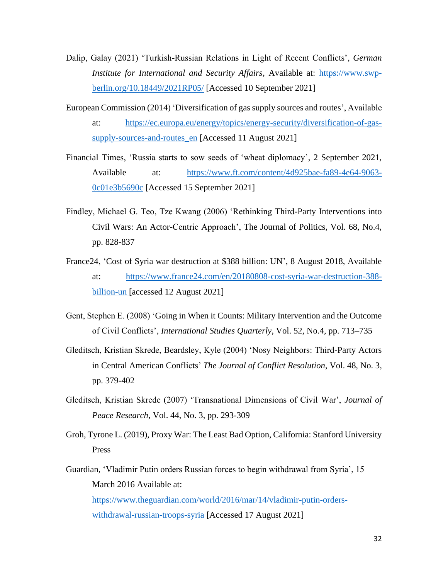- Dalip, Galay (2021) 'Turkish-Russian Relations in Light of Recent Conflicts', *German Institute for International and Security Affairs,* Available at: [https://www.swp](https://www.swp-berlin.org/10.18449/2021RP05/)[berlin.org/10.18449/2021RP05/](https://www.swp-berlin.org/10.18449/2021RP05/) [Accessed 10 September 2021]
- European Commission (2014) 'Diversification of gas supply sources and routes', Available at: [https://ec.europa.eu/energy/topics/energy-security/diversification-of-gas](https://ec.europa.eu/energy/topics/energy-security/diversification-of-gas-supply-sources-and-routes_en)supply-sources-and-routes en [Accessed 11 August 2021]
- Financial Times, 'Russia starts to sow seeds of 'wheat diplomacy', 2 September 2021, Available at: [https://www.ft.com/content/4d925bae-fa89-4e64-9063-](https://www.ft.com/content/4d925bae-fa89-4e64-9063-0c01e3b5690c) [0c01e3b5690c](https://www.ft.com/content/4d925bae-fa89-4e64-9063-0c01e3b5690c) [Accessed 15 September 2021]
- Findley, Michael G. Teo, Tze Kwang (2006) 'Rethinking Third-Party Interventions into Civil Wars: An Actor-Centric Approach', The Journal of Politics, Vol. 68, No.4, pp. 828-837
- France24, 'Cost of Syria war destruction at \$388 billion: UN', 8 August 2018, Available at: [https://www.france24.com/en/20180808-cost-syria-war-destruction-388](https://www.france24.com/en/20180808-cost-syria-war-destruction-388-billion-un) [billion-un](https://www.france24.com/en/20180808-cost-syria-war-destruction-388-billion-un) [accessed 12 August 2021]
- Gent, Stephen E. (2008) 'Going in When it Counts: Military Intervention and the Outcome of Civil Conflicts', *International Studies Quarterly*, Vol. 52, No.4, pp. 713–735
- Gleditsch, Kristian Skrede, Beardsley, Kyle (2004) 'Nosy Neighbors: Third-Party Actors in Central American Conflicts' *The Journal of Conflict Resolution*, Vol. 48, No. 3, pp. 379-402
- Gleditsch, Kristian Skrede (2007) 'Transnational Dimensions of Civil War', *Journal of Peace Research*, Vol. 44, No. 3, pp. 293-309
- Groh, Tyrone L. (2019), Proxy War: The Least Bad Option, California: Stanford University Press
- Guardian, 'Vladimir Putin orders Russian forces to begin withdrawal from Syria', 15 March 2016 Available at: [https://www.theguardian.com/world/2016/mar/14/vladimir-putin-orders-](https://www.theguardian.com/world/2016/mar/14/vladimir-putin-orders-withdrawal-russian-troops-syria)

[withdrawal-russian-troops-syria](https://www.theguardian.com/world/2016/mar/14/vladimir-putin-orders-withdrawal-russian-troops-syria) [Accessed 17 August 2021]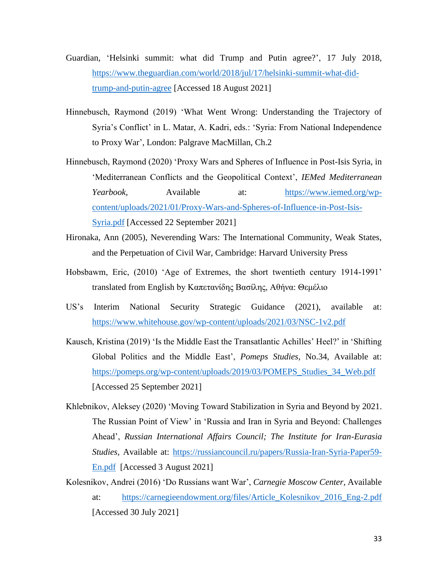- Guardian, 'Helsinki summit: what did Trump and Putin agree?', 17 July 2018, [https://www.theguardian.com/world/2018/jul/17/helsinki-summit-what-did](https://www.theguardian.com/world/2018/jul/17/helsinki-summit-what-did-trump-and-putin-agree)[trump-and-putin-agree](https://www.theguardian.com/world/2018/jul/17/helsinki-summit-what-did-trump-and-putin-agree) [Accessed 18 August 2021]
- Hinnebusch, Raymond (2019) 'What Went Wrong: Understanding the Trajectory of Syria's Conflict' in L. Matar, A. Kadri, eds.: 'Syria: From National Independence to Proxy War', London: Palgrave MacMillan, Ch.2
- Hinnebusch, Raymond (2020) 'Proxy Wars and Spheres of Influence in Post-Isis Syria, in 'Mediterranean Conflicts and the Geopolitical Context', *IEMed Mediterranean Yearbook,* Available at: [https://www.iemed.org/wp](https://www.iemed.org/wp-content/uploads/2021/01/Proxy-Wars-and-Spheres-of-Influence-in-Post-Isis-Syria.pdf)[content/uploads/2021/01/Proxy-Wars-and-Spheres-of-Influence-in-Post-Isis-](https://www.iemed.org/wp-content/uploads/2021/01/Proxy-Wars-and-Spheres-of-Influence-in-Post-Isis-Syria.pdf)[Syria.pdf](https://www.iemed.org/wp-content/uploads/2021/01/Proxy-Wars-and-Spheres-of-Influence-in-Post-Isis-Syria.pdf) [Accessed 22 September 2021]
- Hironaka, Ann (2005), Neverending Wars: The International Community, Weak States, and the Perpetuation of Civil War, Cambridge: Harvard University Press
- Hobsbawm, Eric, (2010) 'Age of Extremes, the short twentieth century 1914-1991' translated from English by Καπετανίδης Βασίλης, Αθήνα: Θεμέλιο
- US's Interim National Security Strategic Guidance (2021), available at: <https://www.whitehouse.gov/wp-content/uploads/2021/03/NSC-1v2.pdf>
- Kausch, Kristina (2019) 'Is the Middle East the Transatlantic Achilles' Heel?' in 'Shifting Global Politics and the Middle East', *Pomeps Studies,* No.34, Available at: [https://pomeps.org/wp-content/uploads/2019/03/POMEPS\\_Studies\\_34\\_Web.pdf](https://pomeps.org/wp-content/uploads/2019/03/POMEPS_Studies_34_Web.pdf) [Accessed 25 September 2021]
- Khlebnikov, Aleksey (2020) 'Moving Toward Stabilization in Syria and Beyond by 2021. The Russian Point of View' in 'Russia and Iran in Syria and Beyond: Challenges Ahead', *Russian International Affairs Council; The Institute for Iran-Eurasia Studies,* Available at: [https://russiancouncil.ru/papers/Russia-Iran-Syria-Paper59-](https://russiancouncil.ru/papers/Russia-Iran-Syria-Paper59-En.pdf) [En.pdf](https://russiancouncil.ru/papers/Russia-Iran-Syria-Paper59-En.pdf) [Accessed 3 August 2021]
- Kolesnikov, Andrei (2016) 'Do Russians want War', *Carnegie Moscow Center,* Available at: [https://carnegieendowment.org/files/Article\\_Kolesnikov\\_2016\\_Eng-2.pdf](https://carnegieendowment.org/files/Article_Kolesnikov_2016_Eng-2.pdf) [Accessed 30 July 2021]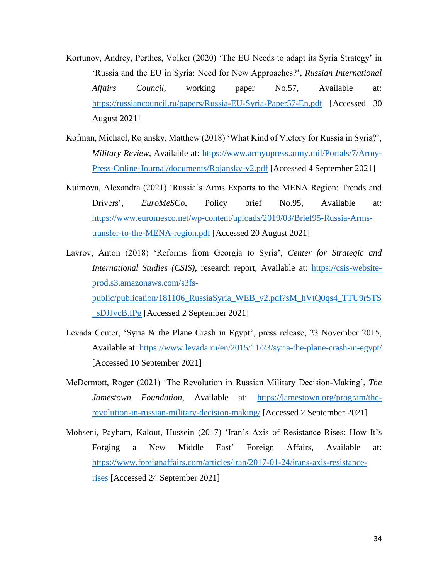- Kortunov, Andrey, Perthes, Volker (2020) 'The EU Needs to adapt its Syria Strategy' in 'Russia and the EU in Syria: Need for New Approaches?', *Russian International Affairs Council,* working paper No.57, Available at: <https://russiancouncil.ru/papers/Russia-EU-Syria-Paper57-En.pdf> [Accessed 30 August 2021]
- Kofman, Michael, Rojansky, Matthew (2018) 'What Kind of Victory for Russia in Syria?', *Military Review*, Available at: [https://www.armyupress.army.mil/Portals/7/Army-](https://www.armyupress.army.mil/Portals/7/Army-Press-Online-Journal/documents/Rojansky-v2.pdf)[Press-Online-Journal/documents/Rojansky-v2.pdf](https://www.armyupress.army.mil/Portals/7/Army-Press-Online-Journal/documents/Rojansky-v2.pdf) [Accessed 4 September 2021]
- Kuimova, Alexandra (2021) 'Russia's Arms Exports to the MENA Region: Trends and Drivers', *EuroMeSCo*, Policy brief No.95, Available at: [https://www.euromesco.net/wp-content/uploads/2019/03/Brief95-Russia-Arms](https://www.euromesco.net/wp-content/uploads/2019/03/Brief95-Russia-Arms-transfer-to-the-MENA-region.pdf)[transfer-to-the-MENA-region.pdf](https://www.euromesco.net/wp-content/uploads/2019/03/Brief95-Russia-Arms-transfer-to-the-MENA-region.pdf) [Accessed 20 August 2021]
- Lavrov, Anton (2018) 'Reforms from Georgia to Syria', *Center for Strategic and International Studies (CSIS)*, research report, Available at: [https://csis-website](https://csis-website-prod.s3.amazonaws.com/s3fs-public/publication/181106_RussiaSyria_WEB_v2.pdf?sM_hVtQ0qs4_TTU9rSTS_sDJJvcB.IPg)[prod.s3.amazonaws.com/s3fs](https://csis-website-prod.s3.amazonaws.com/s3fs-public/publication/181106_RussiaSyria_WEB_v2.pdf?sM_hVtQ0qs4_TTU9rSTS_sDJJvcB.IPg)[public/publication/181106\\_RussiaSyria\\_WEB\\_v2.pdf?sM\\_hVtQ0qs4\\_TTU9rSTS](https://csis-website-prod.s3.amazonaws.com/s3fs-public/publication/181106_RussiaSyria_WEB_v2.pdf?sM_hVtQ0qs4_TTU9rSTS_sDJJvcB.IPg) [\\_sDJJvcB.IPg](https://csis-website-prod.s3.amazonaws.com/s3fs-public/publication/181106_RussiaSyria_WEB_v2.pdf?sM_hVtQ0qs4_TTU9rSTS_sDJJvcB.IPg) [Accessed 2 September 2021]
- Levada Center, 'Syria & the Plane Crash in Egypt', press release, 23 November 2015, Available at:<https://www.levada.ru/en/2015/11/23/syria-the-plane-crash-in-egypt/> [Accessed 10 September 2021]
- McDermott, Roger (2021) 'The Revolution in Russian Military Decision-Making', *The Jamestown Foundation,* Available at: [https://jamestown.org/program/the](https://jamestown.org/program/the-revolution-in-russian-military-decision-making/)[revolution-in-russian-military-decision-making/](https://jamestown.org/program/the-revolution-in-russian-military-decision-making/) [Accessed 2 September 2021]
- Mohseni, Payham, Kalout, Hussein (2017) 'Iran's Axis of Resistance Rises: How It's Forging a New Middle East' Foreign Affairs, Available at: [https://www.foreignaffairs.com/articles/iran/2017-01-24/irans-axis-resistance](https://www.foreignaffairs.com/articles/iran/2017-01-24/irans-axis-resistance-rises)[rises](https://www.foreignaffairs.com/articles/iran/2017-01-24/irans-axis-resistance-rises) [Accessed 24 September 2021]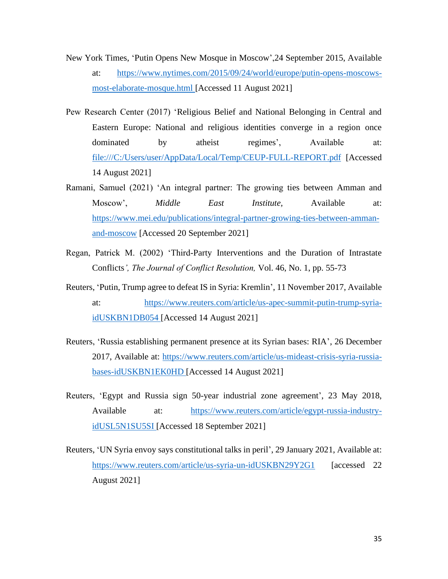- New York Times, 'Putin Opens New Mosque in Moscow',24 September 2015, Available at: [https://www.nytimes.com/2015/09/24/world/europe/putin-opens-moscows](https://www.nytimes.com/2015/09/24/world/europe/putin-opens-moscows-most-elaborate-mosque.html)[most-elaborate-mosque.html](https://www.nytimes.com/2015/09/24/world/europe/putin-opens-moscows-most-elaborate-mosque.html) [Accessed 11 August 2021]
- Pew Research Center (2017) 'Religious Belief and National Belonging in Central and Eastern Europe: National and religious identities converge in a region once dominated by atheist regimes', Available at: <file:///C:/Users/user/AppData/Local/Temp/CEUP-FULL-REPORT.pdf> [Accessed 14 August 2021]
- Ramani, Samuel (2021) 'An integral partner: The growing ties between Amman and Moscow', *Middle East Institute,* Available at: [https://www.mei.edu/publications/integral-partner-growing-ties-between-amman](https://www.mei.edu/publications/integral-partner-growing-ties-between-amman-and-moscow)[and-moscow](https://www.mei.edu/publications/integral-partner-growing-ties-between-amman-and-moscow) [Accessed 20 September 2021]
- Regan, Patrick M. (2002) 'Third-Party Interventions and the Duration of Intrastate Conflicts*', The Journal of Conflict Resolution,* Vol. 46, No. 1, pp. 55-73
- Reuters, 'Putin, Trump agree to defeat IS in Syria: Kremlin', 11 November 2017, Available at: [https://www.reuters.com/article/us-apec-summit-putin-trump-syria](https://www.reuters.com/article/us-apec-summit-putin-trump-syria-idUSKBN1DB054)[idUSKBN1DB054](https://www.reuters.com/article/us-apec-summit-putin-trump-syria-idUSKBN1DB054) [Accessed 14 August 2021]
- Reuters, 'Russia establishing permanent presence at its Syrian bases: RIA', 26 December 2017, Available at: [https://www.reuters.com/article/us-mideast-crisis-syria-russia](https://www.reuters.com/article/us-mideast-crisis-syria-russia-bases-idUSKBN1EK0HD)[bases-idUSKBN1EK0HD](https://www.reuters.com/article/us-mideast-crisis-syria-russia-bases-idUSKBN1EK0HD) [Accessed 14 August 2021]
- Reuters, 'Egypt and Russia sign 50-year industrial zone agreement', 23 May 2018, Available at: [https://www.reuters.com/article/egypt-russia-industry](https://www.reuters.com/article/egypt-russia-industry-idUSL5N1SU5SI)[idUSL5N1SU5SI](https://www.reuters.com/article/egypt-russia-industry-idUSL5N1SU5SI) [Accessed 18 September 2021]
- Reuters, 'UN Syria envoy says constitutional talks in peril', 29 January 2021, Available at: <https://www.reuters.com/article/us-syria-un-idUSKBN29Y2G1>[accessed 22 August 2021]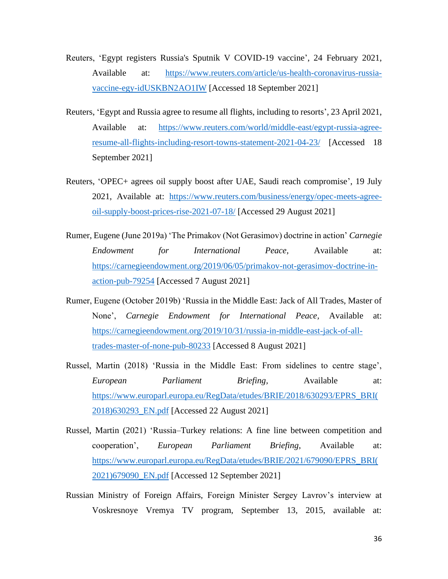- Reuters, 'Egypt registers Russia's Sputnik V COVID-19 vaccine', 24 February 2021, Available at: [https://www.reuters.com/article/us-health-coronavirus-russia](https://www.reuters.com/article/us-health-coronavirus-russia-vaccine-egy-idUSKBN2AO1IW)[vaccine-egy-idUSKBN2AO1IW](https://www.reuters.com/article/us-health-coronavirus-russia-vaccine-egy-idUSKBN2AO1IW) [Accessed 18 September 2021]
- Reuters, 'Egypt and Russia agree to resume all flights, including to resorts', 23 April 2021, Available at: [https://www.reuters.com/world/middle-east/egypt-russia-agree](https://www.reuters.com/world/middle-east/egypt-russia-agree-resume-all-flights-including-resort-towns-statement-2021-04-23/)[resume-all-flights-including-resort-towns-statement-2021-04-23/](https://www.reuters.com/world/middle-east/egypt-russia-agree-resume-all-flights-including-resort-towns-statement-2021-04-23/) [Accessed 18 September 2021]
- Reuters, 'OPEC+ agrees oil supply boost after UAE, Saudi reach compromise', 19 July 2021, Available at: [https://www.reuters.com/business/energy/opec-meets-agree](https://www.reuters.com/business/energy/opec-meets-agree-oil-supply-boost-prices-rise-2021-07-18/)[oil-supply-boost-prices-rise-2021-07-18/](https://www.reuters.com/business/energy/opec-meets-agree-oil-supply-boost-prices-rise-2021-07-18/) [Accessed 29 August 2021]
- Rumer, Eugene (June 2019a) 'The Primakov (Not Gerasimov) doctrine in action' *Carnegie Endowment for International Peace,* Available at: [https://carnegieendowment.org/2019/06/05/primakov-not-gerasimov-doctrine-in](https://carnegieendowment.org/2019/06/05/primakov-not-gerasimov-doctrine-in-action-pub-79254)[action-pub-79254](https://carnegieendowment.org/2019/06/05/primakov-not-gerasimov-doctrine-in-action-pub-79254) [Accessed 7 August 2021]
- Rumer, Eugene (October 2019b) 'Russia in the Middle East: Jack of All Trades, Master of None', *Carnegie Endowment for International Peace,* Available at: [https://carnegieendowment.org/2019/10/31/russia-in-middle-east-jack-of-all](https://carnegieendowment.org/2019/10/31/russia-in-middle-east-jack-of-all-trades-master-of-none-pub-80233)[trades-master-of-none-pub-80233](https://carnegieendowment.org/2019/10/31/russia-in-middle-east-jack-of-all-trades-master-of-none-pub-80233) [Accessed 8 August 2021]
- Russel, Martin (2018) 'Russia in the Middle East: From sidelines to centre stage', *European Parliament Briefing,* Available at: [https://www.europarl.europa.eu/RegData/etudes/BRIE/2018/630293/EPRS\\_BRI\(](https://www.europarl.europa.eu/RegData/etudes/BRIE/2018/630293/EPRS_BRI(2018)630293_EN.pdf) [2018\)630293\\_EN.pdf](https://www.europarl.europa.eu/RegData/etudes/BRIE/2018/630293/EPRS_BRI(2018)630293_EN.pdf) [Accessed 22 August 2021]
- Russel, Martin (2021) 'Russia–Turkey relations: A fine line between competition and cooperation', *European Parliament Briefing*, Available at: [https://www.europarl.europa.eu/RegData/etudes/BRIE/2021/679090/EPRS\\_BRI\(](https://www.europarl.europa.eu/RegData/etudes/BRIE/2021/679090/EPRS_BRI(2021)679090_EN.pdf) [2021\)679090\\_EN.pdf](https://www.europarl.europa.eu/RegData/etudes/BRIE/2021/679090/EPRS_BRI(2021)679090_EN.pdf) [Accessed 12 September 2021]
- Russian Ministry of Foreign Affairs, Foreign Minister Sergey Lavrov's interview at Voskresnoye Vremya TV program, September 13, 2015, available at: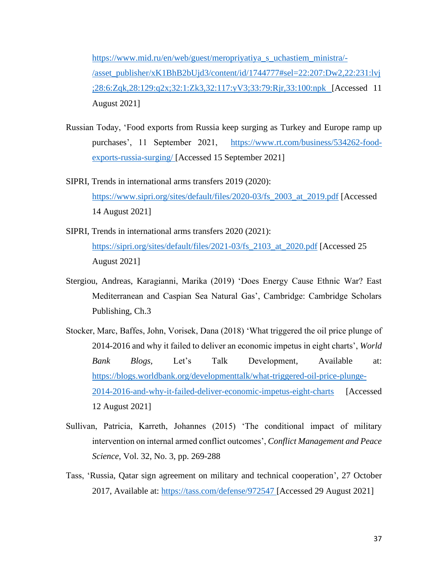[https://www.mid.ru/en/web/guest/meropriyatiya\\_s\\_uchastiem\\_ministra/-](https://www.mid.ru/en/web/guest/meropriyatiya_s_uchastiem_ministra/-/asset_publisher/xK1BhB2bUjd3/content/id/1744777#sel=22:207:Dw2,22:231:lvj;28:6:Zqk,28:129:q2x;32:1:Zk3,32:117:yV3;33:79:Rjr,33:100:npk) [/asset\\_publisher/xK1BhB2bUjd3/content/id/1744777#sel=22:207:Dw2,22:231:lvj](https://www.mid.ru/en/web/guest/meropriyatiya_s_uchastiem_ministra/-/asset_publisher/xK1BhB2bUjd3/content/id/1744777#sel=22:207:Dw2,22:231:lvj;28:6:Zqk,28:129:q2x;32:1:Zk3,32:117:yV3;33:79:Rjr,33:100:npk) [;28:6:Zqk,28:129:q2x;32:1:Zk3,32:117:yV3;33:79:Rjr,33:100:npk](https://www.mid.ru/en/web/guest/meropriyatiya_s_uchastiem_ministra/-/asset_publisher/xK1BhB2bUjd3/content/id/1744777#sel=22:207:Dw2,22:231:lvj;28:6:Zqk,28:129:q2x;32:1:Zk3,32:117:yV3;33:79:Rjr,33:100:npk) [Accessed 11 August 2021]

- Russian Today, 'Food exports from Russia keep surging as Turkey and Europe ramp up purchases', 11 September 2021, [https://www.rt.com/business/534262-food](https://www.rt.com/business/534262-food-exports-russia-surging/)[exports-russia-surging/](https://www.rt.com/business/534262-food-exports-russia-surging/) [Accessed 15 September 2021]
- SIPRI, Trends in international arms transfers 2019 (2020): [https://www.sipri.org/sites/default/files/2020-03/fs\\_2003\\_at\\_2019.pdf](https://www.sipri.org/sites/default/files/2020-03/fs_2003_at_2019.pdf) [Accessed 14 August 2021]
- SIPRI, Trends in international arms transfers 2020 (2021): [https://sipri.org/sites/default/files/2021-03/fs\\_2103\\_at\\_2020.pdf](https://sipri.org/sites/default/files/2021-03/fs_2103_at_2020.pdf) [Accessed 25] August 2021]
- Stergiou, Andreas, Karagianni, Marika (2019) 'Does Energy Cause Ethnic War? East Mediterranean and Caspian Sea Natural Gas', Cambridge: Cambridge Scholars Publishing, Ch.3
- Stocker, Marc, Baffes, John, Vorisek, Dana (2018) 'What triggered the oil price plunge of 2014-2016 and why it failed to deliver an economic impetus in eight charts', *World Bank Blogs,* Let's Talk Development, Available at: [https://blogs.worldbank.org/developmenttalk/what-triggered-oil-price-plunge-](https://blogs.worldbank.org/developmenttalk/what-triggered-oil-price-plunge-2014-2016-and-why-it-failed-deliver-economic-impetus-eight-charts)[2014-2016-and-why-it-failed-deliver-economic-impetus-eight-charts](https://blogs.worldbank.org/developmenttalk/what-triggered-oil-price-plunge-2014-2016-and-why-it-failed-deliver-economic-impetus-eight-charts) [Accessed 12 August 2021]
- Sullivan, Patricia, Karreth, Johannes (2015) 'The conditional impact of military intervention on internal armed conflict outcomes', *Conflict Management and Peace Science*, Vol. 32, No. 3, pp. 269-288
- Tass, 'Russia, Qatar sign agreement on military and technical cooperation', 27 October 2017, Available at:<https://tass.com/defense/972547> [Accessed 29 August 2021]